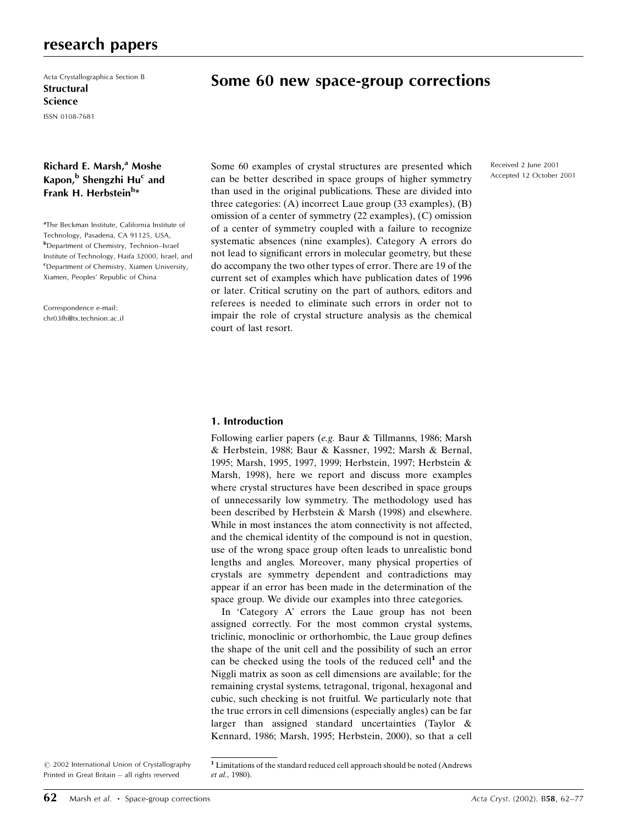# research papers

Acta Crystallographica Section B **Structural** Science

ISSN 0108-7681

# Richard E. Marsh,<sup>a</sup> Moshe Kapon,<sup>b</sup> Shengzhi Hu<sup>c</sup> and Frank H. Herbstein<sup>b</sup>\*

<sup>a</sup>The Beckman Institute, California Institute of Technology, Pasadena, CA 91125, USA, **b**Department of Chemistry, Technion-Israel Institute of Technology, Haifa 32000, Israel, and c Department of Chemistry, Xiamen University, Xiamen, Peoples' Republic of China

Correspondence e-mail: chr03fh@tx.technion.ac.il

# Some 60 new space-group corrections

Some 60 examples of crystal structures are presented which can be better described in space groups of higher symmetry than used in the original publications. These are divided into three categories: (A) incorrect Laue group (33 examples), (B) omission of a center of symmetry (22 examples), (C) omission of a center of symmetry coupled with a failure to recognize systematic absences (nine examples). Category A errors do not lead to significant errors in molecular geometry, but these do accompany the two other types of error. There are 19 of the current set of examples which have publication dates of 1996 or later. Critical scrutiny on the part of authors, editors and referees is needed to eliminate such errors in order not to impair the role of crystal structure analysis as the chemical court of last resort.

Received 2 June 2001 Accepted 12 October 2001

#### 1. Introduction

Following earlier papers (e.g. Baur & Tillmanns, 1986; Marsh & Herbstein, 1988; Baur & Kassner, 1992; Marsh & Bernal, 1995; Marsh, 1995, 1997, 1999; Herbstein, 1997; Herbstein & Marsh, 1998), here we report and discuss more examples where crystal structures have been described in space groups of unnecessarily low symmetry. The methodology used has been described by Herbstein & Marsh (1998) and elsewhere. While in most instances the atom connectivity is not affected, and the chemical identity of the compound is not in question, use of the wrong space group often leads to unrealistic bond lengths and angles. Moreover, many physical properties of crystals are symmetry dependent and contradictions may appear if an error has been made in the determination of the space group. We divide our examples into three categories.

In 'Category A' errors the Laue group has not been assigned correctly. For the most common crystal systems, triclinic, monoclinic or orthorhombic, the Laue group defines the shape of the unit cell and the possibility of such an error can be checked using the tools of the reduced cell<sup>1</sup> and the Niggli matrix as soon as cell dimensions are available; for the remaining crystal systems, tetragonal, trigonal, hexagonal and cubic, such checking is not fruitful. We particularly note that the true errors in cell dimensions (especially angles) can be far larger than assigned standard uncertainties (Taylor & Kennard, 1986; Marsh, 1995; Herbstein, 2000), so that a cell

 $\odot$  2002 International Union of Crystallography Printed in Great Britain - all rights reserved

<sup>1</sup> Limitations of the standard reduced cell approach should be noted (Andrews et al., 1980).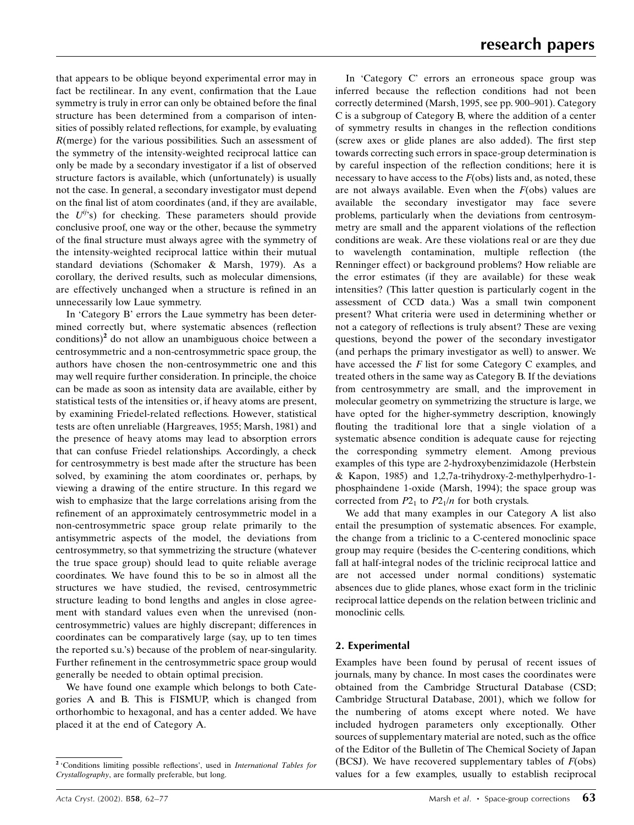that appears to be oblique beyond experimental error may in fact be rectilinear. In any event, confirmation that the Laue symmetry is truly in error can only be obtained before the final structure has been determined from a comparison of intensities of possibly related reflections, for example, by evaluating R(merge) for the various possibilities. Such an assessment of the symmetry of the intensity-weighted reciprocal lattice can only be made by a secondary investigator if a list of observed structure factors is available, which (unfortunately) is usually not the case. In general, a secondary investigator must depend on the final list of atom coordinates (and, if they are available, the  $U^{ij}$ 's) for checking. These parameters should provide conclusive proof, one way or the other, because the symmetry of the final structure must always agree with the symmetry of the intensity-weighted reciprocal lattice within their mutual standard deviations (Schomaker & Marsh, 1979). As a corollary, the derived results, such as molecular dimensions, are effectively unchanged when a structure is refined in an unnecessarily low Laue symmetry.

In 'Category B' errors the Laue symmetry has been determined correctly but, where systematic absences (reflection  $\text{conditions}$ <sup>2</sup> do not allow an unambiguous choice between a centrosymmetric and a non-centrosymmetric space group, the authors have chosen the non-centrosymmetric one and this may well require further consideration. In principle, the choice can be made as soon as intensity data are available, either by statistical tests of the intensities or, if heavy atoms are present, by examining Friedel-related reflections. However, statistical tests are often unreliable (Hargreaves, 1955; Marsh, 1981) and the presence of heavy atoms may lead to absorption errors that can confuse Friedel relationships. Accordingly, a check for centrosymmetry is best made after the structure has been solved, by examining the atom coordinates or, perhaps, by viewing a drawing of the entire structure. In this regard we wish to emphasize that the large correlations arising from the refinement of an approximately centrosymmetric model in a non-centrosymmetric space group relate primarily to the antisymmetric aspects of the model, the deviations from centrosymmetry, so that symmetrizing the structure (whatever the true space group) should lead to quite reliable average coordinates. We have found this to be so in almost all the structures we have studied, the revised, centrosymmetric structure leading to bond lengths and angles in close agreement with standard values even when the unrevised (noncentrosymmetric) values are highly discrepant; differences in coordinates can be comparatively large (say, up to ten times the reported s.u.'s) because of the problem of near-singularity. Further refinement in the centrosymmetric space group would generally be needed to obtain optimal precision.

We have found one example which belongs to both Categories A and B. This is FISMUP, which is changed from orthorhombic to hexagonal, and has a center added. We have placed it at the end of Category A.

In 'Category C' errors an erroneous space group was inferred because the reflection conditions had not been correctly determined (Marsh, 1995, see pp. 900-901). Category C is a subgroup of Category B, where the addition of a center of symmetry results in changes in the reflection conditions (screw axes or glide planes are also added). The first step towards correcting such errors in space-group determination is by careful inspection of the reflection conditions; here it is necessary to have access to the  $F$ (obs) lists and, as noted, these are not always available. Even when the  $F$ (obs) values are available the secondary investigator may face severe problems, particularly when the deviations from centrosymmetry are small and the apparent violations of the reflection conditions are weak. Are these violations real or are they due to wavelength contamination, multiple reflection (the Renninger effect) or background problems? How reliable are the error estimates (if they are available) for these weak intensities? (This latter question is particularly cogent in the assessment of CCD data.) Was a small twin component present? What criteria were used in determining whether or not a category of reflections is truly absent? These are vexing questions, beyond the power of the secondary investigator (and perhaps the primary investigator as well) to answer. We have accessed the F list for some Category C examples, and treated others in the same way as Category B. If the deviations from centrosymmetry are small, and the improvement in molecular geometry on symmetrizing the structure is large, we have opted for the higher-symmetry description, knowingly flouting the traditional lore that a single violation of a systematic absence condition is adequate cause for rejecting the corresponding symmetry element. Among previous examples of this type are 2-hydroxybenzimidazole (Herbstein & Kapon, 1985) and 1,2,7a-trihydroxy-2-methylperhydro-1 phosphaindene 1-oxide (Marsh, 1994); the space group was corrected from  $P2_1$  to  $P2_1/n$  for both crystals.

We add that many examples in our Category A list also entail the presumption of systematic absences. For example, the change from a triclinic to a C-centered monoclinic space group may require (besides the C-centering conditions, which fall at half-integral nodes of the triclinic reciprocal lattice and are not accessed under normal conditions) systematic absences due to glide planes, whose exact form in the triclinic reciprocal lattice depends on the relation between triclinic and monoclinic cells.

#### 2. Experimental

Examples have been found by perusal of recent issues of journals, many by chance. In most cases the coordinates were obtained from the Cambridge Structural Database (CSD; Cambridge Structural Database, 2001), which we follow for the numbering of atoms except where noted. We have included hydrogen parameters only exceptionally. Other sources of supplementary material are noted, such as the office of the Editor of the Bulletin of The Chemical Society of Japan (BCSJ). We have recovered supplementary tables of  $F$ (obs) values for a few examples, usually to establish reciprocal

<sup>&</sup>lt;sup>2</sup> 'Conditions limiting possible reflections', used in International Tables for Crystallography, are formally preferable, but long.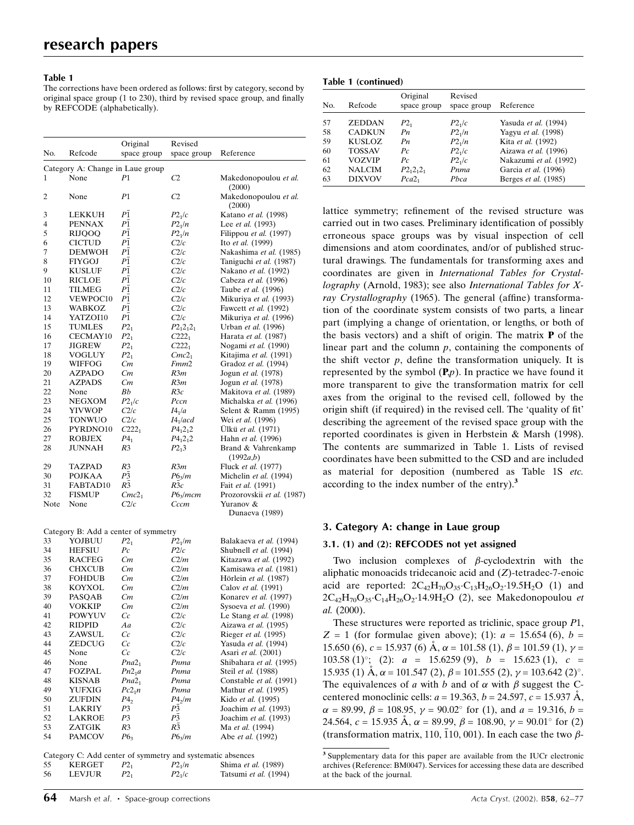#### Table 1

The corrections have been ordered as follows: first by category, second by original space group  $(1 \text{ to } 230)$ , third by revised space group, and finally by REFCODE (alphabetically).

| No.  | Refcode                          | Original           | Revised             | Reference                       |
|------|----------------------------------|--------------------|---------------------|---------------------------------|
|      |                                  | space group        | space group         |                                 |
|      | Category A: Change in Laue group |                    |                     |                                 |
| 1    | None                             | P1                 | C2                  | Makedonopoulou et al.<br>(2000) |
| 2    | None                             | P <sub>1</sub>     | C <sub>2</sub>      | Makedonopoulou et al.<br>(2000) |
| 3    | <b>LEKKUH</b>                    | P <sub>1</sub>     | $P2_1/c$            | Katano et al. (1998)            |
| 4    | <b>PENNAX</b>                    | P1                 | $P2_1/n$            | Lee et al. (1993)               |
| 5    | <b>RIJOOO</b>                    | P <sub>1</sub>     | $P2_1/n$            | Filippou et al. (1997)          |
| 6    | <b>CICTUD</b>                    | P <sub>1</sub>     | C2/c                | Ito et al. (1999)               |
| 7    | <b>DEMWOH</b>                    | P1                 | C2/c                | Nakashima et al. (1985)         |
| 8    | <b>FIYGOJ</b>                    | P <sub>1</sub>     | C2/c                | Taniguchi et al. (1987)         |
| 9    | <b>KUSLUF</b>                    | P <sub>1</sub>     | C2/c                | Nakano et al. (1992)            |
| 10   | <b>RICLOE</b>                    | P <sub>1</sub>     | C2/c                | Cabeza et al. (1996)            |
| 11   | <b>TILMEG</b>                    | ΡĪ                 | C2/c                | Taube et al. (1996)             |
| 12   | VEWPOC10                         | P <sub>1</sub>     | C2/c                | Mikuriya et al. (1993)          |
| 13   | <b>WABKOZ</b>                    | P <sub>1</sub>     | C2/c                | Fawcett et al. (1992)           |
| 14   | YATZOI10                         | P <sub>1</sub>     | C2/c                | Mikuriya et al. (1996)          |
| 15   | <b>TUMLES</b>                    | $P2_1$             | $P2_12_12_1$        | Urban et al. (1996)             |
| 16   | CECMAY10                         | $P2_1$             | $C222_1$            | Harata et al. (1987)            |
| 17   | <b>JIGREW</b>                    | $P2_1$             | $C222_1$            | Nogami et al. (1990)            |
| 18   | <b>VOGLUY</b>                    | $P2_1$             | Cmc2 <sub>1</sub>   | Kitajima et al. (1991)          |
| 19   | WIFFOG                           | Cт                 | Fmm2                | Gradoz et al. (1994)            |
| 20   | <b>AZPADO</b>                    | Cт                 | R3m                 | Jogun et al. (1978)             |
| 21   | <b>AZPADS</b>                    | Cт                 | R3m                 | Jogun et al. (1978)             |
| 22   | None                             | Bb                 | R3c                 | Makitova et al. (1989)          |
| 23   | NEGXOM                           | P2 <sub>1</sub> /c | Pccn                | Michalska et al. (1996)         |
| 24   | <b>YIVWOP</b>                    | C2/c               | I4 <sub>1</sub> /a  | Selent & Ramm (1995)            |
| 25   | <b>TONWUO</b>                    | C2/c               | $I4_1/acd$          | Wei et al. (1996)               |
| 26   | PYRDNO10                         | $C222_1$           | $P4_12_12$          | Ulkü et al. (1971)              |
| 27   | <b>ROBJEX</b>                    | $P_4$              | $P_{{}_{1}}{2_{1}}$ | Hahn et al. (1996)              |
| 28   | <b>JUNNAH</b>                    | R <sub>3</sub>     | $P2_13$             | Brand & Vahrenkamp<br>(1992a,b) |
| 29   | <b>TAZPAD</b>                    | R <sub>3</sub>     | R3m                 | Fluck et al. (1977)             |
| 30   | <b>POJKAA</b>                    | P <sub>3</sub>     | $P6_3/m$            | Michelin et al. (1994)          |
| 31   | FABTAD10                         | R <sub>3</sub>     | R3c                 | Fait et al. (1991)              |
| 32   | <b>FISMUP</b>                    | Cmc2 <sub>1</sub>  | $P6_3/mcm$          | Prozorovskii et al. (1987)      |
| Note | None                             | C2/c               | Cccm                | Yuranov &                       |

|    | Category B: Add a center of symmetry                       |                    |                    |                         |
|----|------------------------------------------------------------|--------------------|--------------------|-------------------------|
| 33 | YOJBUU                                                     | $P2_1$             | $P2_1/m$           | Balakaeva et al. (1994) |
| 34 | <b>HEFSIU</b>                                              | $P_{C}$            | P2/c               | Shubnell et al. (1994)  |
| 35 | <b>RACFEG</b>                                              | Cm                 | C2/m               | Kitazawa et al. (1992)  |
| 36 | <b>CHXCUB</b>                                              | Cm                 | C2/m               | Kamisawa et al. (1981)  |
| 37 | <b>FOHDUB</b>                                              | Cm                 | C2/m               | Hörlein et al. (1987)   |
| 38 | <b>KOYXOL</b>                                              | Cm                 | C2/m               | Calov et al. (1991)     |
| 39 | PASOAB                                                     | Cm                 | C2/m               | Konarev et al. (1997)   |
| 40 | <b>VOKKIP</b>                                              | Cm                 | C2/m               | Sysoeva et al. (1990)   |
| 41 | <b>POWYUV</b>                                              | Cc                 | C2/c               | Le Stang et al. (1998)  |
| 42 | RIDPID                                                     | Aa                 | C2/c               | Aizawa et al. (1995)    |
| 43 | <b>ZAWSUL</b>                                              | Cc                 | C2/c               | Rieger et al. (1995)    |
| 44 | <b>ZEDCUG</b>                                              | Cc                 | C2/c               | Yasuda et al. (1994)    |
| 45 | None                                                       | Cc                 | C2/c               | Asari et al. (2001)     |
| 46 | None                                                       | Pna2 <sub>1</sub>  | Pnma               | Shibahara et al. (1995) |
| 47 | <b>FOZPAL</b>                                              | Pn2 <sub>1</sub> a | Pnma               | Steil et al. (1988)     |
| 48 | <b>KISNAB</b>                                              | Pna2 <sub>1</sub>  | Pnma               | Constable et al. (1991) |
| 49 | <b>YUFXIG</b>                                              | $Pc2_1n$           | Pnma               | Mathur et al. (1995)    |
| 50 | <b>ZUFDIN</b>                                              | $P_4$              | P4 <sub>2</sub> /m | Kido et al. (1995)      |
| 51 | <b>LAKRIY</b>                                              | P <sub>3</sub>     | P3                 | Joachim et al. (1993)   |
| 52 | <b>LAKROE</b>                                              | P3                 | P3                 | Joachim et al. (1993)   |
| 53 | <b>ZATGIK</b>                                              | R <sub>3</sub>     | R3                 | Ma et al. (1994)        |
| 54 | <b>PAMCOV</b>                                              | P6 <sub>3</sub>    | $P6_3/m$           | Abe et al. (1992)       |
|    | Category C: Add center of symmetry and systematic absences |                    |                    |                         |

Dunaeva (1989)

|    | Category C: Add center of symmetry and systematic absences |          |          |                       |
|----|------------------------------------------------------------|----------|----------|-----------------------|
| 55 | KERGET                                                     | $P_{21}$ | $P2_1/n$ | Shima et al. (1989)   |
| 56 | <b>LEVJUR</b>                                              | $P_{21}$ | $P2_1/c$ | Tatsumi et al. (1994) |

|     |               | Original          | Revised            |                        |
|-----|---------------|-------------------|--------------------|------------------------|
| No. | Refcode       | space group       | space group        | Reference              |
| 57  | <b>ZEDDAN</b> | $P2_1$            | P2 <sub>1</sub> /c | Yasuda et al. (1994)   |
| 58  | <b>CADKUN</b> | Pn                | P2 <sub>1</sub> /n | Yagyu et al. (1998)    |
| 59  | <b>KUSLOZ</b> | Pn                | P2 <sub>1</sub> /n | Kita et al. (1992)     |
| 60  | TOSSAV        | $P_{C}$           | $P2_1/c$           | Aizawa et al. (1996)   |
| 61  | VOZVIP        | $P_{C}$           | $P2_1/c$           | Nakazumi et al. (1992) |
| 62  | <b>NALCIM</b> | $P2_12_12_1$      | Pnma               | Garcia et al. (1996)   |
| 63  | <b>DIXVOV</b> | Pca2 <sub>1</sub> | Pbca               | Berges et al. (1985)   |

lattice symmetry; refinement of the revised structure was carried out in two cases. Preliminary identification of possibly erroneous space groups was by visual inspection of cell dimensions and atom coordinates, and/or of published structural drawings. The fundamentals for transforming axes and coordinates are given in International Tables for Crystallography (Arnold, 1983); see also International Tables for Xray Crystallography (1965). The general (affine) transformation of the coordinate system consists of two parts, a linear part (implying a change of orientation, or lengths, or both of the basis vectors) and a shift of origin. The matrix  $P$  of the linear part and the column  $p$ , containing the components of the shift vector  $p$ , define the transformation uniquely. It is represented by the symbol  $(P,p)$ . In practice we have found it more transparent to give the transformation matrix for cell axes from the original to the revised cell, followed by the origin shift (if required) in the revised cell. The 'quality of fit' describing the agreement of the revised space group with the reported coordinates is given in Herbstein & Marsh (1998). The contents are summarized in Table 1. Lists of revised coordinates have been submitted to the CSD and are included as material for deposition (numbered as Table 1S etc. according to the index number of the entry).<sup>3</sup>

#### 3. Category A: change in Laue group

#### 3.1. (1) and (2): REFCODES not yet assigned

Two inclusion complexes of  $\beta$ -cyclodextrin with the aliphatic monoacids tridecanoic acid and (Z)-tetradec-7-enoic acid are reported:  $2C_{42}H_{70}O_{35}C_{13}H_{26}O_2.19.5H_2O$  (1) and  $2C_{42}H_{70}O_{35}C_{14}H_{26}O_{2}.14.9H_{2}O$  (2), see Makedonopoulou *et* al. (2000).

These structures were reported as triclinic, space group P1,  $Z = 1$  (for formulae given above); (1):  $a = 15.654$  (6),  $b = 1$ 15.650 (6),  $c = 15.937$  (6) A,  $\alpha = 101.58$  (1),  $\beta = 101.59$  (1),  $\gamma =$ 103.58 (1)°; (2):  $a = 15.6259(9)$ ,  $b = 15.623(1)$ ,  $c =$ 15.935 (1) Å,  $\alpha$  = 101.547 (2),  $\beta$  = 101.555 (2),  $\gamma$  = 103.642 (2)°. The equivalences of a with b and of  $\alpha$  with  $\beta$  suggest the Ccentered monoclinic cells:  $a = 19.363$ ,  $b = 24.597$ ,  $c = 15.937$  Å,  $\alpha = 89.99, \beta = 108.95, \gamma = 90.02^{\circ}$  for (1), and  $a = 19.316, b =$ 24.564,  $c = 15.935 \text{ Å}$ ,  $\alpha = 89.99$ ,  $\beta = 108.90$ ,  $\gamma = 90.01^{\circ}$  for (2) (transformation matrix, 110, 110, 001). In each case the two  $\beta$ -

<sup>3</sup> Supplementary data for this paper are available from the IUCr electronic archives (Reference: BM0047). Services for accessing these data are described at the back of the journal.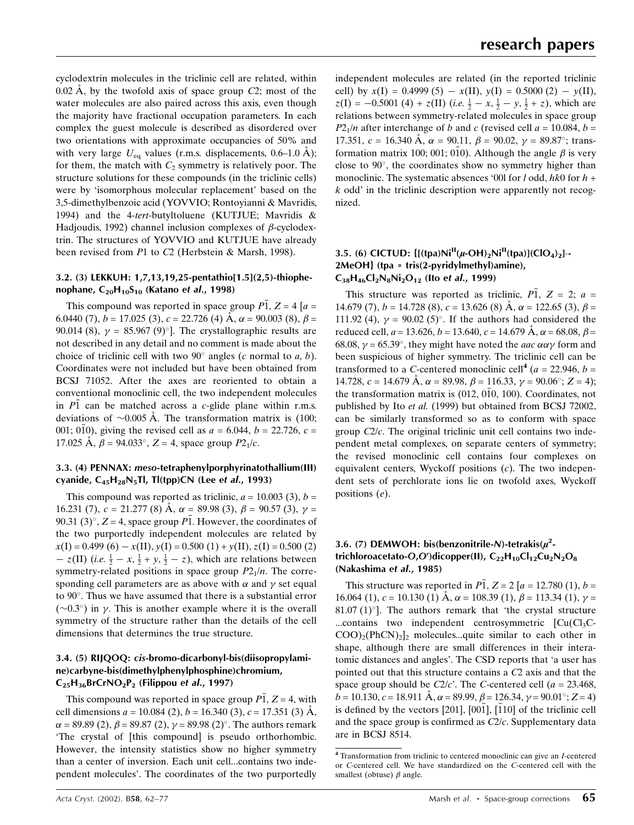cyclodextrin molecules in the triclinic cell are related, within  $0.02 \text{ Å}$ , by the twofold axis of space group  $C2$ ; most of the water molecules are also paired across this axis, even though the majority have fractional occupation parameters. In each complex the guest molecule is described as disordered over two orientations with approximate occupancies of 50% and with very large  $U_{\text{eq}}$  values (r.m.s. displacements, 0.6–1.0 Å); for them, the match with  $C_2$  symmetry is relatively poor. The structure solutions for these compounds (in the triclinic cells) were by 'isomorphous molecular replacement' based on the 3,5-dimethylbenzoic acid (YOVVIO; Rontoyianni & Mavridis, 1994) and the 4-tert-butyltoluene (KUTJUE; Mavridis & Hadjoudis, 1992) channel inclusion complexes of  $\beta$ -cyclodextrin. The structures of YOVVIO and KUTJUE have already been revised from P1 to C2 (Herbstein & Marsh, 1998).

#### 3.2. (3) LEKKUH: 1,7,13,19,25-pentathio[1.5](2,5)-thiophenophane,  $C_{20}H_{10}S_{10}$  (Katano et al., 1998)

This compound was reported in space group  $\overline{P1}$ ,  $Z = 4[a =$ 6.0440 (7),  $b = 17.025$  (3),  $c = 22.726$  (4)  $\AA$ ,  $\alpha = 90.003$  (8),  $\beta =$ 90.014 (8),  $\gamma = 85.967$  (9)<sup>o</sup>]. The crystallographic results are not described in any detail and no comment is made about the choice of triclinic cell with two  $90^\circ$  angles (c normal to a, b). Coordinates were not included but have been obtained from BCSJ 71052. After the axes are reoriented to obtain a conventional monoclinic cell, the two independent molecules in  $\overline{P1}$  can be matched across a *c*-glide plane within r.m.s. deviations of  $\sim 0.005$  Å. The transformation matrix is (100; 001; 010), giving the revised cell as  $a = 6.044$ ,  $b = 22.726$ ,  $c =$ 17.025 Å,  $\beta$  = 94.033°,  $Z = 4$ , space group  $P2_1/c$ .

#### 3.3. (4) PENNAX: meso-tetraphenylporphyrinatothallium(III) cyanide,  $C_{45}H_{28}N_5Tl$ , Tl(tpp)CN (Lee et al., 1993)

This compound was reported as triclinic,  $a = 10.003$  (3),  $b =$ 16.231 (7),  $c = 21.277$  (8)  $\AA$ ,  $\alpha = 89.98$  (3),  $\beta = 90.57$  (3),  $\gamma =$ 90.31 (3)°,  $Z = 4$ , space group  $\overline{P1}$ . However, the coordinates of the two purportedly independent molecules are related by  $x(I) = 0.499(6) - x(II)$ ,  $y(I) = 0.500(1) + y(II)$ ,  $z(I) = 0.500(2)$  $-z(II)$  (i.e.  $\frac{1}{2} - x$ ,  $\frac{1}{2} + y$ ,  $\frac{1}{2} - z$ ), which are relations between symmetry-related positions in space group  $P2_1/n$ . The corresponding cell parameters are as above with  $\alpha$  and  $\gamma$  set equal to 90°. Thus we have assumed that there is a substantial error  $(\sim 0.3^{\circ})$  in  $\gamma$ . This is another example where it is the overall symmetry of the structure rather than the details of the cell dimensions that determines the true structure.

### 3.4. (5) RIJQOQ: cis-bromo-dicarbonyl-bis(diisopropylamine)carbyne-bis(dimethylphenylphosphine)chromium,  $C_{25}H_{36}BrCrNO_2P_2$  (Filippou et al., 1997)

This compound was reported in space group  $\overline{P1}$ ,  $Z = 4$ , with cell dimensions  $a = 10.084$  (2),  $b = 16.340$  (3),  $c = 17.351$  (3) Å,  $\alpha$  = 89.89 (2),  $\beta$  = 89.87 (2),  $\gamma$  = 89.98 (2)°. The authors remark `The crystal of [this compound] is pseudo orthorhombic. However, the intensity statistics show no higher symmetry than a center of inversion. Each unit cell...contains two independent molecules'. The coordinates of the two purportedly independent molecules are related (in the reported triclinic cell) by  $x(I) = 0.4999 (5) - x(II)$ ,  $y(I) = 0.5000 (2) - y(II)$ ,  $z(I) = -0.5001$  (4) +  $z(II)$  (i.e.  $\frac{1}{2} - x$ ,  $\frac{1}{2} - y$ ,  $\frac{1}{2} + z$ ), which are relations between symmetry-related molecules in space group  $P2_1/n$  after interchange of b and c (revised cell  $a = 10.084$ ,  $b =$ 17.351,  $c = 16.340 \text{ Å}$ ,  $\alpha = 90.11$ ,  $\beta = 90.02$ ,  $\gamma = 89.87^{\circ}$ ; transformation matrix 100; 001; 010). Although the angle  $\beta$  is very close to  $90^\circ$ , the coordinates show no symmetry higher than monoclinic. The systematic absences '00l for  $l$  odd,  $hk$ 0 for  $h$  +  $k$  odd' in the triclinic description were apparently not recognized.

#### 3.5. (6) CICTUD:  $\{[(\text{tna})\text{Ni}^{II}(u\text{-OH})_2\text{Ni}^{II}(\text{tna})](\text{ClO}_4)_2\}$ . 2MeOH} (tpa = tris(2-pyridylmethyl)amine),  $C_{38}H_{46}Cl_2N_8Ni_2O_{12}$  (Ito et al., 1999)

This structure was reported as triclinic,  $P\overline{1}$ ,  $Z = 2$ ;  $a =$ 14.679 (7),  $b = 14.728$  (8),  $c = 13.626$  (8)  $\AA$ ,  $\alpha = 122.65$  (3),  $\beta =$ 111.92 (4),  $v = 90.02$  (5)<sup>o</sup>. If the authors had considered the reduced cell,  $a = 13.626$ ,  $b = 13.640$ ,  $c = 14.679$   $\AA$ ,  $\alpha = 68.08$ ,  $\beta =$ 68.08,  $\gamma = 65.39^{\circ}$ , they might have noted the *aac*  $\alpha \alpha \gamma$  form and been suspicious of higher symmetry. The triclinic cell can be transformed to a C-centered monoclinic cell<sup>4</sup> ( $a = 22.946$ ,  $b =$ 14.728,  $c = 14.679 \text{ Å}$ ,  $\alpha = 89.98$ ,  $\beta = 116.33$ ,  $\gamma = 90.06^{\circ}$ ;  $Z = 4$ ); the transformation matrix is  $(012, 010, 100)$ . Coordinates, not published by Ito et al. (1999) but obtained from BCSJ 72002, can be similarly transformed so as to conform with space group  $C2/c$ . The original triclinic unit cell contains two independent metal complexes, on separate centers of symmetry; the revised monoclinic cell contains four complexes on equivalent centers, Wyckoff positions  $(c)$ . The two independent sets of perchlorate ions lie on twofold axes, Wyckoff positions (e).

## 3.6. (7) DEMWOH: bis(benzonitrile-N)-tetrakis( $\mu^2$ trichloroacetato-O,O')dicopper(II),  $C_{22}H_{10}Cl_{12}Cu_{2}N_{2}O_{8}$ (Nakashima et al., 1985)

This structure was reported in  $\overline{P1}$ ,  $Z = 2[a = 12.780 (1), b =$ 16.064 (1),  $c = 10.130$  (1)  $\AA$ ,  $\alpha = 108.39$  (1),  $\beta = 113.34$  (1),  $\gamma =$ 81.07 (1) $\degree$ ]. The authors remark that 'the crystal structure ...contains two independent centrosymmetric  $\lbrack Cu(Cl_3C COO<sub>2</sub>(PhCN)<sub>2</sub>$  molecules...quite similar to each other in shape, although there are small differences in their interatomic distances and angles'. The CSD reports that `a user has pointed out that this structure contains a C2 axis and that the space group should be  $C2/c'$ . The C-centered cell (a = 23.468,  $b = 10.130$ ,  $c = 18.911$   $\text{\AA}$ ,  $\alpha = 89.99$ ,  $\beta = 126.34$ ,  $\gamma = 90.01^{\circ}$ ;  $Z = 4$ ) is defined by the vectors [201],  $[00\overline{1}]$ ,  $[110]$  of the triclinic cell and the space group is confirmed as  $C2/c$ . Supplementary data are in BCSJ 8514.

<sup>4</sup> Transformation from triclinic to centered monoclinic can give an I-centered or C-centered cell. We have standardized on the C-centered cell with the smallest (obtuse)  $\beta$  angle.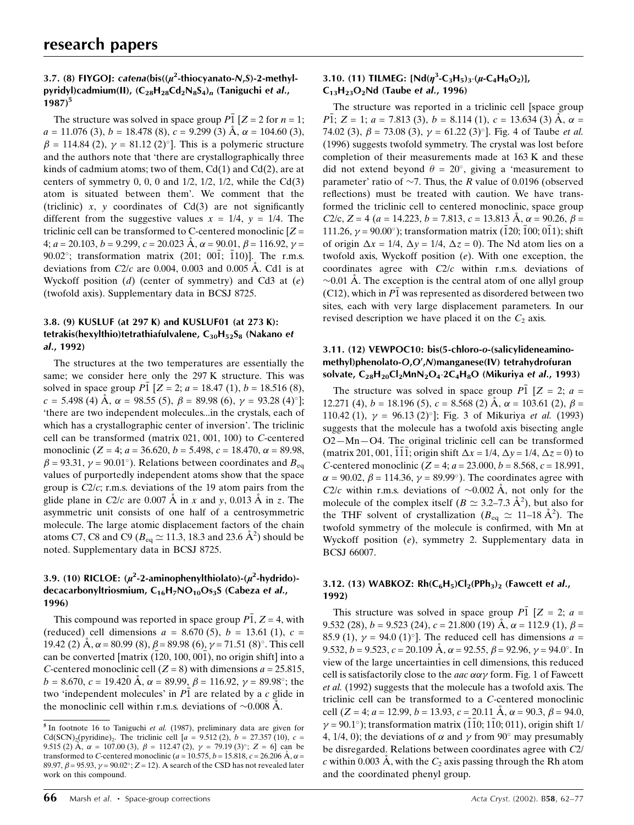## 3.7. (8) FIYGOJ: catena(bis( $(\mu^2$ -thiocyanato-N,S)-2-methylpyridyl)cadmium(II),  $(C_{28}H_{28}Cd_2N_8S_4)_n$  (Taniguchi et al.,  $1987$ <sup>5</sup>

The structure was solved in space group  $\overline{PI}$   $[Z = 2$  for  $n = 1$ ;  $a = 11.076$  (3),  $b = 18.478$  (8),  $c = 9.299$  (3)  $\AA$ ,  $\alpha = 104.60$  (3),  $\beta = 114.84$  (2),  $\gamma = 81.12$  (2)<sup>o</sup>]. This is a polymeric structure and the authors note that 'there are crystallographically three kinds of cadmium atoms; two of them,  $Cd(1)$  and  $Cd(2)$ , are at centers of symmetry 0, 0, 0 and  $1/2$ ,  $1/2$ ,  $1/2$ , while the Cd(3) atom is situated between them'. We comment that the (triclinic) x, y coordinates of  $Cd(3)$  are not significantly different from the suggestive values  $x = 1/4$ ,  $y = 1/4$ . The triclinic cell can be transformed to C-centered monoclinic  $Z =$ 4;  $a = 20.103$ ,  $b = 9.299$ ,  $c = 20.023$  Å,  $\alpha = 90.01$ ,  $\beta = 116.92$ ,  $\gamma =$ 90.02°; transformation matrix  $(201; 001; 110)$ ]. The r.m.s. deviations from  $C2/c$  are 0.004, 0.003 and 0.005 Å. Cd1 is at Wyckoff position  $(d)$  (center of symmetry) and Cd3 at  $(e)$ (twofold axis). Supplementary data in BCSJ 8725.

## 3.8. (9) KUSLUF (at 297 K) and KUSLUF01 (at 273 K): tetrakis(hexylthio)tetrathiafulvalene,  $C_{30}H_{52}S_8$  (Nakano et al., 1992)

The structures at the two temperatures are essentially the same; we consider here only the 297 K structure. This was solved in space group  $P\overline{1}$  [ $Z = 2$ ;  $a = 18.47$  (1),  $b = 18.516$  (8),  $c = 5.498$  (4) Å,  $\alpha = 98.55$  (5),  $\beta = 89.98$  (6),  $\gamma = 93.28$  (4)<sup>o</sup>]; `there are two independent molecules...in the crystals, each of which has a crystallographic center of inversion'. The triclinic cell can be transformed (matrix 021, 001, 100) to C-centered monoclinic (Z = 4;  $a = 36.620$ ,  $b = 5.498$ ,  $c = 18.470$ ,  $\alpha = 89.98$ ,  $\beta$  = 93.31,  $\gamma$  = 90.01°). Relations between coordinates and  $B_{eq}$ values of purportedly independent atoms show that the space group is  $C2/c$ ; r.m.s. deviations of the 19 atom pairs from the glide plane in  $C2/c$  are 0.007 A in x and y, 0.013 A in z. The asymmetric unit consists of one half of a centrosymmetric molecule. The large atomic displacement factors of the chain atoms C7, C8 and C9 ( $B_{eq} \simeq 11.3$ , 18.3 and 23.6  $\AA^2$ ) should be noted. Supplementary data in BCSJ 8725.

## 3.9. (10) RICLOE:  $(\mu^2$ -2-aminophenylthiolato)- $(\mu^2$ -hydrido)decacarbonyltriosmium,  $C_{16}H_7NO_{10}Os_3S$  (Cabeza et al., 1996)

This compound was reported in space group  $P\overline{1}$ ,  $Z = 4$ , with (reduced) cell dimensions  $a = 8.670(5)$ ,  $b = 13.61(1)$ ,  $c =$ 19.42 (2)  $\AA$ ,  $\alpha$  = 80.99 (8),  $\beta$  = 89.98 (6),  $\gamma$  = 71.51 (8)°. This cell can be converted  $\text{matrix} (120, 100, 001)$ , no origin shiftl into a C-centered monoclinic cell  $(Z = 8)$  with dimensions  $a = 25.815$ ,  $b = 8.670$ ,  $c = 19.420$  A,  $\alpha = 89.99$ ,  $\beta = 116.92$ ,  $\gamma = 89.98^{\circ}$ ; the two 'independent molecules' in  $\overline{P1}$  are related by a c glide in the monoclinic cell within r.m.s. deviations of  $\sim 0.008$  Å.

## 3.10. (11) TILMEG: [Nd( $\eta^3$ -C<sub>3</sub>H<sub>5</sub>)<sub>3</sub>·( $\mu$ -C<sub>4</sub>H<sub>8</sub>O<sub>2</sub>)],  $C_{13}H_{23}O_2$ Nd (Taube et al., 1996)

The structure was reported in a triclinic cell [space group P1; Z = 1;  $a = 7.813$  (3),  $b = 8.114$  (1),  $c = 13.634$  (3) A,  $\alpha =$ 74.02 (3),  $\beta$  = 73.08 (3),  $\gamma$  = 61.22 (3)°]. Fig. 4 of Taube *et al.* (1996) suggests twofold symmetry. The crystal was lost before completion of their measurements made at 163 K and these did not extend beyond  $\theta = 20^{\circ}$ , giving a 'measurement to parameter' ratio of  $\sim$ 7. Thus, the R value of 0.0196 (observed reflections) must be treated with caution. We have transformed the triclinic cell to centered monoclinic, space group C2/c, Z = 4 (a = 14.223, b = 7.813, c = 13.813 Å,  $\alpha$  = 90.26,  $\beta$  = 111.26,  $\gamma$  = 90.00°); transformation matrix (120; 100; 011); shift of origin  $\Delta x = 1/4$ ,  $\Delta y = 1/4$ ,  $\Delta z = 0$ ). The Nd atom lies on a twofold axis, Wyckoff position  $(e)$ . With one exception, the coordinates agree with C2/c within r.m.s. deviations of  $\sim$ 0.01 Å. The exception is the central atom of one allyl group (C12), which in P1 was represented as disordered between two sites, each with very large displacement parameters. In our revised description we have placed it on the  $C_2$  axis.

## 3.11. (12) VEWPOC10: bis(5-chloro-o-(salicylideneaminomethyl)phenolato-O,O',N)manganese(IV) tetrahydrofuran solvate,  $C_{28}H_{20}Cl_2MnN_2O_4.2C_4H_8O$  (Mikuriya et al., 1993)

The structure was solved in space group  $\overline{P1}$   $[Z = 2; a =$ 12.271 (4),  $b = 18.196$  (5),  $c = 8.568$  (2) A,  $\alpha = 103.61$  (2),  $\beta =$ 110.42 (1),  $\gamma = 96.13 \,(2)^{\circ}$ ; Fig. 3 of Mikuriya *et al.* (1993) suggests that the molecule has a twofold axis bisecting angle  $O2-Mn-O4$ . The original triclinic cell can be transformed (matrix 201, 001, 111; origin shift  $\Delta x = 1/4$ ,  $\Delta y = 1/4$ ,  $\Delta z = 0$ ) to C-centered monoclinic ( $Z = 4$ ;  $a = 23.000$ ,  $b = 8.568$ ,  $c = 18.991$ ,  $\alpha$  = 90.02,  $\beta$  = 114.36,  $\gamma$  = 89.99°). The coordinates agree with C2/c within r.m.s. deviations of  $\sim 0.002$  Å, not only for the molecule of the complex itself ( $B \simeq 3.2-7.3 \text{ Å}^2$ ), but also for the THF solvent of crystallization ( $B_{eq} \simeq 11{\text -}18 \text{ Å}^2$ ). The twofold symmetry of the molecule is confirmed, with Mn at Wyckoff position (e), symmetry 2. Supplementary data in BCSJ 66007.

#### 3.12. (13) WABKOZ:  $Rh(C_6H_5)Cl_2(PPh_3)$ <sub>2</sub> (Fawcett et al., 1992)

This structure was solved in space group P1  $[Z = 2; a =$ 9.532 (28),  $b = 9.523$  (24),  $c = 21.800$  (19)  $\AA$ ,  $\alpha = 112.9$  (1),  $\beta =$ 85.9 (1),  $\gamma = 94.0$  (1)<sup>o</sup>]. The reduced cell has dimensions  $a =$ 9.532,  $b = 9.523$ ,  $c = 20.109$  Å,  $\alpha = 92.55$ ,  $\beta = 92.96$ ,  $\gamma = 94.0^{\circ}$ . In view of the large uncertainties in cell dimensions, this reduced cell is satisfactorily close to the *aac*  $\alpha \alpha \gamma$  form. Fig. 1 of Fawcett et al. (1992) suggests that the molecule has a twofold axis. The triclinic cell can be transformed to a C-centered monoclinic cell (Z = 4;  $a = 12.99$ ,  $b = 13.93$ ,  $c = 20.11$  Å,  $\alpha = 90.3$ ,  $\beta = 94.0$ ,  $\gamma$  = 90.1°); transformation matrix (110; 110; 011), origin shift 1/ 4, 1/4, 0); the deviations of  $\alpha$  and  $\gamma$  from 90° may presumably be disregarded. Relations between coordinates agree with C2/ c within 0.003 Å, with the  $C_2$  axis passing through the Rh atom and the coordinated phenyl group.

<sup>5</sup> In footnote 16 to Taniguchi et al. (1987), preliminary data are given for Cd(SCN)<sub>2</sub>(pyridine)<sub>2</sub>. The triclinic cell  $[a = 9.512(2), b = 27.357(10), c =$ 9.515 (2) Å,  $\alpha = 107.00$  (3),  $\beta = 112.47$  (2),  $\gamma = 79.19$  (3)°;  $Z = 6$ ] can be transformed to C-centered monoclinic ( $a = 10.575$ ,  $b = 15.818$ ,  $c = 26.206$  Å,  $\alpha =$ 89.97,  $\beta$  = 95.93,  $\gamma$  = 90.02°; Z = 12). A search of the CSD has not revealed later work on this compound.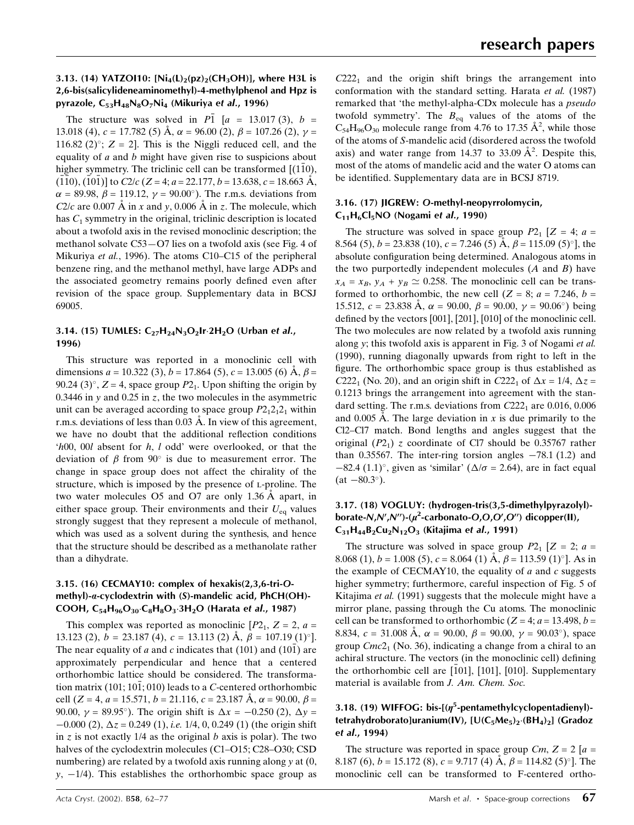#### 3.13. (14) YATZOI10:  $[Ni_4(L)_2(pz)_2(CH_3OH)]$ , where H3L is 2,6-bis(salicylideneaminomethyl)-4-methylphenol and Hpz is pyrazole,  $C_{53}H_{48}N_8O_7Ni_4$  (Mikuriya et al., 1996)

The structure was solved in  $\overline{P1}$  [a = 13.017 (3), b = 13.018 (4),  $c = 17.782$  (5) A,  $\alpha = 96.00$  (2),  $\beta = 107.26$  (2),  $\gamma =$ 116.82 (2)<sup>o</sup>;  $Z = 2$ . This is the Niggli reduced cell, and the equality of  $a$  and  $b$  might have given rise to suspicions about higher symmetry. The triclinic cell can be transformed  $[(1\overline{1}0),$  $(1\overline{1}0), (1\overline{1}0\overline{1})]$  to  $C2/c$  (Z = 4; a = 22.177, b = 13.638, c = 18.663 Å,  $\alpha$  = 89.98,  $\beta$  = 119.12,  $\gamma$  = 90.00°). The r.m.s. deviations from C2/c are 0.007 Å in x and y, 0.006 Å in z. The molecule, which has  $C_1$  symmetry in the original, triclinic description is located about a twofold axis in the revised monoclinic description; the methanol solvate C53–O7 lies on a twofold axis (see Fig. 4 of Mikuriya et al., 1996). The atoms C10-C15 of the peripheral benzene ring, and the methanol methyl, have large ADPs and the associated geometry remains poorly defined even after revision of the space group. Supplementary data in BCSJ 69005.

## 3.14. (15) TUMLES:  $C_{27}H_{24}N_3O_2Ir.2H_2O$  (Urban et al., 1996)

This structure was reported in a monoclinic cell with dimensions  $a = 10.322$  (3),  $b = 17.864$  (5),  $c = 13.005$  (6)  $\dot{A}$ ,  $\beta =$ 90.24 (3)°,  $Z = 4$ , space group  $P2<sub>1</sub>$ . Upon shifting the origin by 0.3446 in y and 0.25 in z, the two molecules in the asymmetric unit can be averaged according to space group  $P2_12_12_1$  within r.m.s. deviations of less than  $0.03 \text{ Å}$ . In view of this agreement, we have no doubt that the additional reflection conditions  $h00$ ,  $h00l$  absent for h, l odd' were overlooked, or that the deviation of  $\beta$  from  $90^{\circ}$  is due to measurement error. The change in space group does not affect the chirality of the structure, which is imposed by the presence of L-proline. The two water molecules  $O5$  and  $O7$  are only 1.36 Å apart, in either space group. Their environments and their  $U_{eq}$  values strongly suggest that they represent a molecule of methanol, which was used as a solvent during the synthesis, and hence that the structure should be described as a methanolate rather than a dihydrate.

#### 3.15. (16) CECMAY10: complex of hexakis(2,3,6-tri-Omethyl)-a-cyclodextrin with (S)-mandelic acid, PhCH(OH)- COOH,  $C_{54}H_{96}O_{30} \cdot C_8H_8O_3 \cdot 3H_2O$  (Harata et al., 1987)

This complex was reported as monoclinic  $[P2_1, Z = 2, a =$ 13.123 (2),  $b = 23.187$  (4),  $c = 13.113$  (2)  $\AA$ ,  $\beta = 107.19$  (1)<sup>o</sup>]. The near equality of a and c indicates that (101) and (101) are approximately perpendicular and hence that a centered orthorhombic lattice should be considered. The transformation matrix  $(101: 101: 010)$  leads to a *C*-centered orthorhombic cell (Z = 4, a = 15.571, b = 21.116, c = 23.187 Å,  $\alpha$  = 90.00,  $\beta$  = 90.00,  $y = 89.95^{\circ}$ ). The origin shift is  $\Delta x = -0.250$  (2),  $\Delta y =$  $-0.000$  (2),  $\Delta z = 0.249$  (1), *i.e.* 1/4, 0, 0.249 (1) (the origin shift in z is not exactly  $1/4$  as the original b axis is polar). The two halves of the cyclodextrin molecules (C1-O15; C28-O30; CSD numbering) are related by a twofold axis running along  $\nu$  at  $(0, 0)$  $y, -1/4$ ). This establishes the orthorhombic space group as

 $C222<sub>1</sub>$  and the origin shift brings the arrangement into conformation with the standard setting. Harata et al. (1987) remarked that 'the methyl-alpha-CDx molecule has a pseudo twofold symmetry'. The  $B_{eq}$  values of the atoms of the  $C_{54}H_{96}O_{30}$  molecule range from 4.76 to 17.35  $\AA^2$ , while those of the atoms of S-mandelic acid (disordered across the twofold axis) and water range from 14.37 to 33.09  $A^2$ . Despite this, most of the atoms of mandelic acid and the water O atoms can be identified. Supplementary data are in BCSJ 8719.

## 3.16. (17) JIGREW: O-methyl-neopyrrolomycin,  $C_{11}H_6Cl_5NO$  (Nogami et al., 1990)

The structure was solved in space group  $P2_1$  [Z = 4; a = 8.564 (5),  $b = 23.838$  (10),  $c = 7.246$  (5) A,  $\beta = 115.09$  (5)<sup>o</sup>], the absolute configuration being determined. Analogous atoms in the two purportedly independent molecules  $(A \text{ and } B)$  have  $x_A = x_B$ ,  $y_A + y_B \simeq 0.258$ . The monoclinic cell can be transformed to orthorhombic, the new cell  $(Z = 8; a = 7.246, b = 1.246)$ 15.512,  $c = 23.838$  Å,  $\alpha = 90.00$ ,  $\beta = 90.00$ ,  $\gamma = 90.06^{\circ}$ ) being defined by the vectors [001], [201], [010] of the monoclinic cell. The two molecules are now related by a twofold axis running along y; this twofold axis is apparent in Fig. 3 of Nogami et al. (1990), running diagonally upwards from right to left in the figure. The orthorhombic space group is thus established as C222<sub>1</sub> (No. 20), and an origin shift in C222<sub>1</sub> of  $\Delta x = 1/4$ ,  $\Delta z =$ 0.1213 brings the arrangement into agreement with the standard setting. The r.m.s. deviations from  $C222<sub>1</sub>$  are 0.016, 0.006 and 0.005 Å. The large deviation in x is due primarily to the Cl2–Cl7 match. Bond lengths and angles suggest that the original  $(P2<sub>1</sub>)$  z coordinate of Cl7 should be 0.35767 rather than 0.35567. The inter-ring torsion angles  $-78.1$  (1.2) and  $-82.4$  (1.1)°, given as 'similar' ( $\Delta/\sigma$  = 2.64), are in fact equal  $(at -80.3^{\circ}).$ 

#### 3.17. (18) VOGLUY: (hydrogen-tris(3,5-dimethylpyrazolyl) borate-N,N',N'')-( $\mu^2$ -carbonato-O,O,O',O'') dicopper(II),  $C_{31}H_{44}B_2Cu_2N_{12}O_3$  (Kitajima et al., 1991)

The structure was solved in space group  $P2_1$  [ $Z = 2$ ;  $a =$ 8.068 (1),  $b = 1.008$  (5),  $c = 8.064$  (1)  $\AA$ ,  $\beta = 113.59$  (1)<sup>o</sup>]. As in the example of CECMAY10, the equality of  $a$  and  $c$  suggests higher symmetry; furthermore, careful inspection of Fig. 5 of Kitajima et al. (1991) suggests that the molecule might have a mirror plane, passing through the Cu atoms. The monoclinic cell can be transformed to orthorhombic ( $Z = 4$ ;  $a = 13.498$ ,  $b =$ 8.834,  $c = 31.008 \text{ Å}, \alpha = 90.00, \beta = 90.00, \gamma = 90.03^{\circ}$ , space group  $Cmc2<sub>1</sub>$  (No. 36), indicating a change from a chiral to an achiral structure. The vectors (in the monoclinic cell) defining the orthorhombic cell are [101], [101], [010]. Supplementary material is available from J. Am. Chem. Soc.

## 3.18. (19) WIFFOG: bis- $[(\eta^5\text{-pentamethy}]$ cyclopentadienyl)tetrahydroborato]uranium(IV),  $[U(C_5Me_5)_2(GTheta_4)_2]$  (Gradoz et al., 1994)

The structure was reported in space group  $Cm$ ,  $Z = 2[a =$ 8.187 (6),  $b = 15.172$  (8),  $c = 9.717$  (4)  $\AA$ ,  $\beta = 114.82$  (5)<sup>o</sup>]. The monoclinic cell can be transformed to F-centered ortho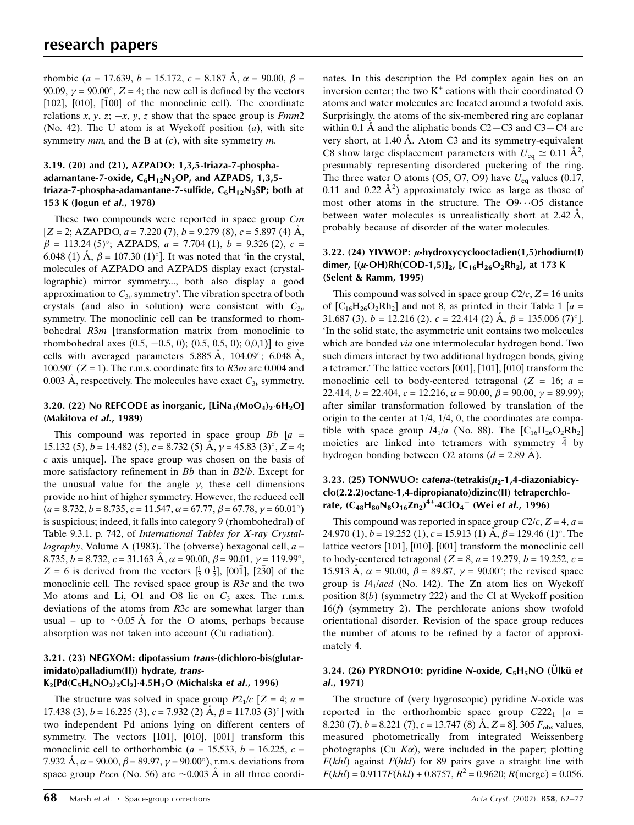rhombic (a = 17.639, b = 15.172, c = 8.187 Å,  $\alpha$  = 90.00,  $\beta$  = 90.09,  $\gamma$  = 90.00°, Z = 4; the new cell is defined by the vectors  $[102]$ ,  $[010]$ ,  $[100]$  of the monoclinic cell). The coordinate relations x, y, z;  $-x$ , y, z show that the space group is Fmm2 (No. 42). The U atom is at Wyckoff position  $(a)$ , with site symmetry  $mm$ , and the B at  $(c)$ , with site symmetry  $m$ .

#### 3.19. (20) and (21), AZPADO: 1,3,5-triaza-7-phosphaadamantane-7-oxide,  $C_6H_{12}N_3OP$ , and AZPADS, 1,3,5triaza-7-phospha-adamantane-7-sulfide,  $C_6H_{12}N_3SP$ ; both at 153 K (Jogun et al., 1978)

These two compounds were reported in space group Cm  $[Z = 2; AZAPDO, a = 7.220 (7), b = 9.279 (8), c = 5.897 (4) \text{ Å},$  $\beta = 113.24$  (5)°; AZPADS,  $a = 7.704$  (1),  $b = 9.326$  (2),  $c =$ 6.048 (1) Å,  $\beta = 107.30$  (1)<sup>o</sup>]. It was noted that 'in the crystal, molecules of AZPADO and AZPADS display exact (crystallographic) mirror symmetry..., both also display a good approximation to  $C_{3v}$  symmetry'. The vibration spectra of both crystals (and also in solution) were consistent with  $C_{3v}$ symmetry. The monoclinic cell can be transformed to rhombohedral R3m [transformation matrix from monoclinic to rhombohedral axes  $(0.5, -0.5, 0)$ ;  $(0.5, 0.5, 0)$ ; 0,0,1)] to give cells with averaged parameters 5.885 Å, 104.09°; 6.048 Å,  $100.90^{\circ}$  (Z = 1). The r.m.s. coordinate fits to R3m are 0.004 and 0.003 Å, respectively. The molecules have exact  $C_{3v}$  symmetry.

#### 3.20. (22) No REFCODE as inorganic,  $[LiNa_3(MoO_4)_2·6H_2O]$ (Makitova et al., 1989)

This compound was reported in space group  $Bb$  [a = 15.132 (5),  $b = 14.482$  (5),  $c = 8.732$  (5)  $\AA$ ,  $\gamma = 45.83$  (3)°,  $Z = 4$ ; c axis unique]. The space group was chosen on the basis of more satisfactory refinement in  $Bb$  than in  $B2/b$ . Except for the unusual value for the angle  $\gamma$ , these cell dimensions provide no hint of higher symmetry. However, the reduced cell  $(a = 8.732, b = 8.735, c = 11.547, \alpha = 67.77, \beta = 67.78, \gamma = 60.01^{\circ})$ is suspicious; indeed, it falls into category 9 (rhombohedral) of Table 9.3.1, p. 742, of International Tables for X-ray Crystallography, Volume A (1983). The (obverse) hexagonal cell,  $a =$ 8.735,  $b = 8.732$ ,  $c = 31.163$  Å,  $\alpha = 90.00$ ,  $\beta = 90.01$ ,  $\gamma = 119.99^{\circ}$ ,  $Z = 6$  is derived from the vectors  $[\frac{1}{2} \ 0 \ \frac{1}{2}]$ , [001], [230] of the monoclinic cell. The revised space group is R3c and the two Mo atoms and Li, O1 and O8 lie on  $C_3$  axes. The r.m.s. deviations of the atoms from R3c are somewhat larger than usual – up to  $\sim 0.05$  Å for the O atoms, perhaps because absorption was not taken into account (Cu radiation).

## 3.21. (23) NEGXOM: dipotassium trans-(dichloro-bis(glutarimidato)palladium(II)) hydrate, trans-

#### $K_2[Pd(C_5H_6NO_2)_2Cl_2]$ -4.5H<sub>2</sub>O (Michalska et al., 1996)

The structure was solved in space group  $P2_1/c$  [Z = 4; a = 17.438 (3),  $b = 16.225$  (3),  $c = 7.932$  (2) Å,  $\beta = 117.03$  (3)<sup>o</sup>] with two independent Pd anions lying on different centers of symmetry. The vectors [101], [010], [001] transform this monoclinic cell to orthorhombic ( $a = 15.533$ ,  $b = 16.225$ ,  $c =$ 7.932 Å,  $\alpha$  = 90.00,  $\beta$  = 89.97,  $\gamma$  = 90.00°), r.m.s. deviations from space group *Pccn* (No. 56) are  $\sim 0.003$  Å in all three coordinates. In this description the Pd complex again lies on an inversion center; the two  $K^+$  cations with their coordinated O atoms and water molecules are located around a twofold axis. Surprisingly, the atoms of the six-membered ring are coplanar within 0.1 Å and the aliphatic bonds  $C2-C3$  and  $C3-C4$  are very short, at 1.40 Å. Atom C3 and its symmetry-equivalent C8 show large displacement parameters with  $U_{\text{eq}} \simeq 0.11 \text{ \AA}^2$ , presumably representing disordered puckering of the ring. The three water O atoms (O5, O7, O9) have  $U_{eq}$  values (0.17, 0.11 and 0.22  $\AA^2$ ) approximately twice as large as those of most other atoms in the structure. The  $O9 \cdot O5$  distance between water molecules is unrealistically short at 2.42  $\AA$ , probably because of disorder of the water molecules.

#### 3.22. (24) YIVWOP:  $\mu$ -hydroxycyclooctadien(1,5)rhodium(I) dimer,  $[(\mu$ -OH)Rh(COD-1,5)]<sub>2</sub>,  $[C_{16}H_{26}O_2Rh_2]$ , at 173 K (Selent & Ramm, 1995)

This compound was solved in space group  $C2/c$ ,  $Z = 16$  units of  $[C_{16}H_{26}O_2Rh_2]$  and not 8, as printed in their Table 1 [a = 31.687 (3),  $b = 12.216$  (2),  $c = 22.414$  (2)  $\AA$ ,  $\beta = 135.006$  (7)<sup>o</sup>l. `In the solid state, the asymmetric unit contains two molecules which are bonded via one intermolecular hydrogen bond. Two such dimers interact by two additional hydrogen bonds, giving a tetramer.' The lattice vectors [001], [101], [010] transform the monoclinic cell to body-centered tetragonal ( $Z = 16$ ;  $a =$ 22.414,  $b = 22.404$ ,  $c = 12.216$ ,  $\alpha = 90.00$ ,  $\beta = 90.00$ ,  $\gamma = 89.99$ ); after similar transformation followed by translation of the origin to the center at 1/4, 1/4, 0, the coordinates are compatible with space group  $I4_1/a$  (No. 88). The  $[C_{16}H_{26}O_2Rh_2]$ moieties are linked into tetramers with symmetry  $\overline{4}$  by hydrogen bonding between O2 atoms ( $d = 2.89$  Å).

# 3.23. (25) TONWUO: catena-(tetrakis( $\mu_2$ -1,4-diazoniabicyclo(2.2.2)octane-1,4-dipropianato)dizinc(II) tetraperchlorate, (C<sub>48</sub>H<sub>80</sub>N<sub>8</sub>O<sub>16</sub>Zn<sub>2</sub>)<sup>4+</sup>·4ClO<sub>4</sub><sup>-</sup> (Wei e*t al.*, 1996)

This compound was reported in space group  $C2/c$ ,  $Z = 4$ ,  $a =$ 24.970 (1),  $b = 19.252$  (1),  $c = 15.913$  (1)  $\AA$ ,  $\beta = 129.46$  (1)<sup>o</sup>. The lattice vectors [101], [010], [001] transform the monoclinic cell to body-centered tetragonal ( $Z = 8$ ,  $a = 19.279$ ,  $b = 19.252$ ,  $c =$ 15.913 Å,  $\alpha = 90.00, \beta = 89.87, \gamma = 90.00^{\circ}$ ; the revised space group is  $I4_1/acd$  (No. 142). The Zn atom lies on Wyckoff position  $8(b)$  (symmetry 222) and the Cl at Wyckoff position  $16(f)$  (symmetry 2). The perchlorate anions show twofold orientational disorder. Revision of the space group reduces the number of atoms to be refined by a factor of approximately 4.

#### 3.24. (26) PYRDNO10: pyridine N-oxide,  $C_5H_5NO$  (Ulkü et al., 1971)

The structure of (very hygroscopic) pyridine N-oxide was reported in the orthorhombic space group  $C222<sub>1</sub>$  [a = 8.230 (7),  $b = 8.221$  (7),  $c = 13.747$  (8) Å,  $Z = 8$ ]. 305  $F_{obs}$  values, measured photometrically from integrated Weissenberg photographs (Cu  $K\alpha$ ), were included in the paper; plotting  $F(khl)$  against  $F(hkl)$  for 89 pairs gave a straight line with  $F(khl) = 0.9117F(hkl) + 0.8757$ ,  $R^2 = 0.9620$ ;  $R(merge) = 0.056$ .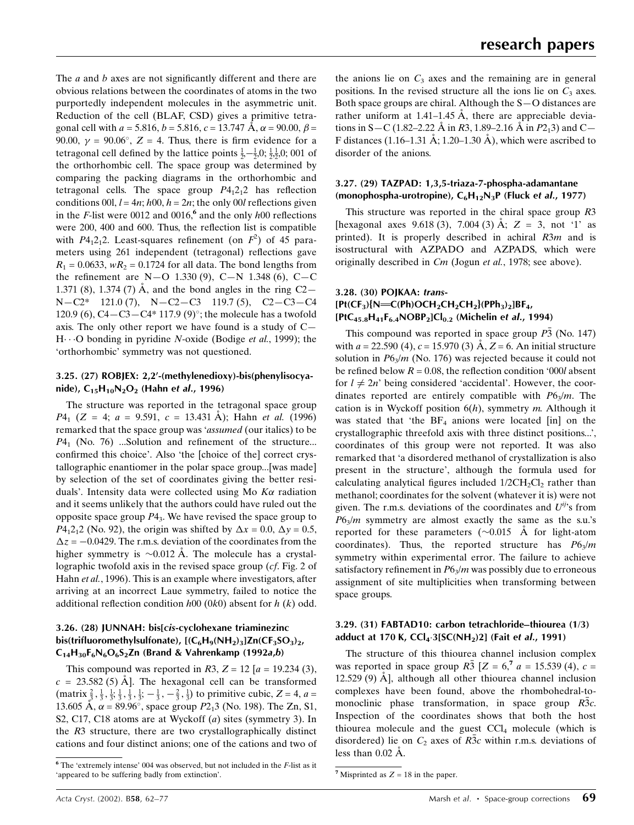The  $a$  and  $b$  axes are not significantly different and there are obvious relations between the coordinates of atoms in the two purportedly independent molecules in the asymmetric unit. Reduction of the cell (BLAF, CSD) gives a primitive tetragonal cell with  $a = 5.816$ ,  $b = 5.816$ ,  $c = 13.747$  Å,  $\alpha = 90.00$ ,  $\beta =$ 90.00,  $\gamma = 90.06^{\circ}$ , Z = 4. Thus, there is firm evidence for a tetragonal cell defined by the lattice points  $\frac{1}{2}$ ,  $-\frac{1}{2}$ , 0;  $\frac{1}{2}$ ,  $\frac{1}{2}$ ,  $\frac{1}{2}$ ,  $\frac{1}{2}$ ,  $\frac{1}{2}$ ,  $\frac{1}{2}$ ,  $\frac{1}{2}$ ,  $\frac{1}{2}$ ,  $\frac{1}{2}$ ,  $\frac{1}{2}$ ,  $\frac{1}{2}$ ,  $\frac{1}{2}$ ,  $\frac{1}{2}$ ,  $\frac{1}{2$ the orthorhombic cell. The space group was determined by comparing the packing diagrams in the orthorhombic and tetragonal cells. The space group  $P_{1,2,1}$  has reflection conditions 00l,  $l = 4n$ ;  $h(0)$ ,  $h = 2n$ ; the only 00l reflections given in the F-list were 0012 and 0016,<sup>6</sup> and the only  $h^{00}$  reflections were 200, 400 and 600. Thus, the reflection list is compatible with  $P4_12_12$ . Least-squares refinement (on  $F^2$ ) of 45 parameters using 261 independent (tetragonal) reflections gave  $R_1 = 0.0633$ ,  $wR_2 = 0.1724$  for all data. The bond lengths from the refinement are N $-$ O 1.330 (9), C $-$ N 1.348 (6), C $-$ C 1.371 (8), 1.374 (7)  $\AA$ , and the bond angles in the ring C2 $N-C2^*$  121.0 (7),  $N-C2-C3$  119.7 (5),  $C2-C3-C4$ 120.9 (6), C4 $-C3-C4*117.9$  (9)°; the molecule has a twofold axis. The only other report we have found is a study of  $C H \cdots$ O bonding in pyridine N-oxide (Bodige *et al.*, 1999); the `orthorhombic' symmetry was not questioned.

#### 3.25. (27) ROBJEX: 2,2'-(methylenedioxy)-bis(phenylisocyanide),  $C_{15}H_{10}N_2O_2$  (Hahn et *al.*, 1996)

The structure was reported in the tetragonal space group  $P4_1$  (Z = 4; a = 9.591, c = 13.431 Å); Hahn et al. (1996) remarked that the space group was 'assumed (our italics) to be  $P4_1$  (No. 76) ...Solution and refinement of the structure... confirmed this choice'. Also 'the [choice of the] correct crystallographic enantiomer in the polar space group...[was made] by selection of the set of coordinates giving the better residuals'. Intensity data were collected using Mo  $K\alpha$  radiation and it seems unlikely that the authors could have ruled out the opposite space group  $P_4$ <sub>3</sub>. We have revised the space group to  $P4_12_12$  (No. 92), the origin was shifted by  $\Delta x = 0.0$ ,  $\Delta y = 0.5$ ,  $\Delta z = -0.0429$ . The r.m.s. deviation of the coordinates from the higher symmetry is  $\sim 0.012$  Å. The molecule has a crystallographic twofold axis in the revised space group (cf. Fig. 2 of Hahn et al., 1996). This is an example where investigators, after arriving at an incorrect Laue symmetry, failed to notice the additional reflection condition  $h00$  (0k0) absent for  $h$  (k) odd.

#### 3.26. (28) JUNNAH: bis[cis-cyclohexane triaminezinc bis(trifluoromethylsulfonate),  $[(C_6H_9(NH_2)_3]Zn(CF_3SO_3)_2,$  $C_{14}H_{30}F_6N_6O_6S_2Zn$  (Brand & Vahrenkamp (1992a,b)

This compound was reported in R3,  $Z = 12$  [a = 19.234 (3),  $c = 23.582(5)$  Å. The hexagonal cell can be transformed (matrix  $\frac{2}{3}$ ,  $\frac{1}{3}$ ,  $\frac{1}{3}$ ,  $\frac{1}{3}$ ,  $\frac{1}{3}$ ,  $\frac{1}{3}$ ,  $-\frac{1}{3}$ ,  $-\frac{2}{3}$ ,  $\frac{1}{3}$ ) to primitive cubic, Z = 4, a = 13.605 Å,  $\alpha$  = 89.96°, space group P2<sub>1</sub>3 (No. 198). The Zn, S1, S2, C17, C18 atoms are at Wyckoff (a) sites (symmetry 3). In the R3 structure, there are two crystallographically distinct cations and four distinct anions; one of the cations and two of

#### 3.27. (29) TAZPAD: 1,3,5-triaza-7-phospha-adamantane (monophospha-urotropine),  $C_6H_{12}N_3P$  (Fluck et al., 1977)

This structure was reported in the chiral space group R3 [hexagonal axes  $9.618(3)$ ,  $7.004(3)$  A;  $Z = 3$ , not '1' as printed). It is properly described in achiral R3m and is isostructural with AZPADO and AZPADS, which were originally described in *Cm* (Jogun et al., 1978; see above).

### 3.28. (30) POJKAA: trans-  $[Pt(CF_3)\{N=CC(Ph)OCH_2CH_2CH_2\} (PPh_3)_2]BF_4$ ,  $[PtC_{45.8}H_{41}F_{6.4}NOBP_2]Cl_{0.2}$  (Michelin et al., 1994)

This compound was reported in space group  $\overline{P3}$  (No. 147) with  $a = 22.590$  (4),  $c = 15.970$  (3)  $\AA$ ,  $Z = 6$ . An initial structure solution in  $P6<sub>3</sub>/m$  (No. 176) was rejected because it could not be refined below  $R = 0.08$ , the reflection condition '000l absent for  $l \neq 2n$ ' being considered 'accidental'. However, the coordinates reported are entirely compatible with  $P6_3/m$ . The cation is in Wyckoff position  $6(h)$ , symmetry m. Although it was stated that 'the  $BF_4$  anions were located [in] on the crystallographic threefold axis with three distinct positions...', coordinates of this group were not reported. It was also remarked that `a disordered methanol of crystallization is also present in the structure', although the formula used for calculating analytical figures included  $1/2CH_2Cl_2$  rather than methanol; coordinates for the solvent (whatever it is) were not given. The r.m.s. deviations of the coordinates and  $U^{ij}$ 's from  $P6<sub>3</sub>/m$  symmetry are almost exactly the same as the s.u.'s reported for these parameters  $(\sim 0.015 \text{ Å}$  for light-atom coordinates). Thus, the reported structure has  $P6<sub>3</sub>/m$ symmetry within experimental error. The failure to achieve satisfactory refinement in  $P6_3/m$  was possibly due to erroneous assignment of site multiplicities when transforming between space groups.

#### 3.29. (31) FABTAD10: carbon tetrachloride-thiourea (1/3) adduct at 170 K,  $CCl_4.3[SC(NH_2)2]$  (Fait et al., 1991)

The structure of this thiourea channel inclusion complex was reported in space group  $R_3$  [ $Z = 6$ ,  $a = 15.539$  (4),  $c =$ 12.529 (9)  $\AA$ , although all other thiourea channel inclusion complexes have been found, above the rhombohedral-tomonoclinic phase transformation, in space group R3c. Inspection of the coordinates shows that both the host thiourea molecule and the guest  $CCl<sub>4</sub>$  molecule (which is disordered) lie on  $C_2$  axes of  $R\overline{3}c$  within r.m.s. deviations of less than  $0.02 \text{ Å}$ .

 $6$  The 'extremely intense' 004 was observed, but not included in the  $F$ -list as it `appeared to be suffering badly from extinction'. <sup>7</sup> Misprinted as Z = 18 in the paper.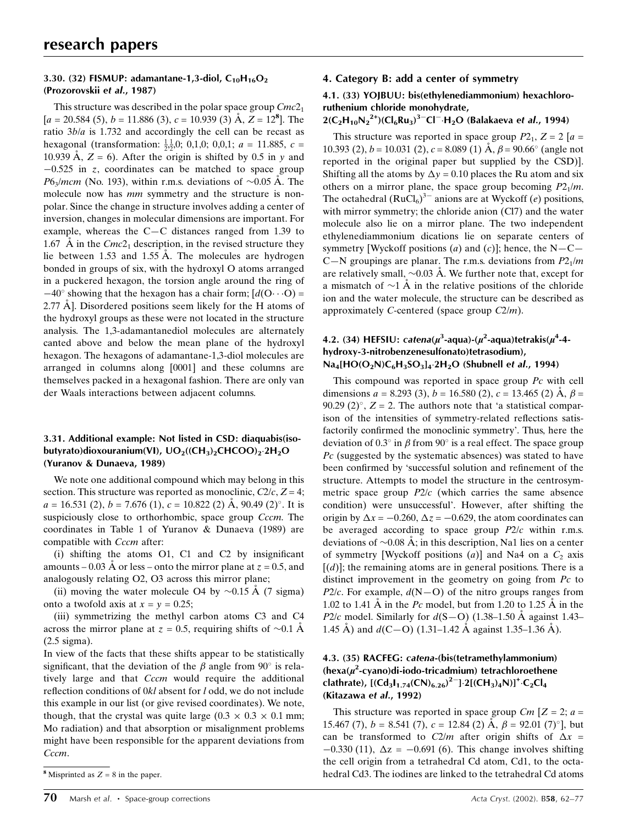#### 3.30. (32) FISMUP: adamantane-1,3-diol,  $C_{10}H_{16}O_2$ (Prozorovskii et al., 1987)

This structure was described in the polar space group  $Cmc2<sub>1</sub>$  $[a = 20.584(5), b = 11.886(3), c = 10.939(3)$  Å,  $Z = 12<sup>8</sup>$ . The ratio 3b/a is 1.732 and accordingly the cell can be recast as hexagonal (transformation:  $\frac{1}{2}$ , 0, 0, 0, 0, 0, 0, 0, 0, 0, 1;  $a = 11.885$ ,  $c =$ 10.939 Å,  $Z = 6$ ). After the origin is shifted by 0.5 in y and  $-0.525$  in z, coordinates can be matched to space group  $P6<sub>3</sub>/mcm$  (No. 193), within r.m.s. deviations of  $\sim 0.05$  Å. The molecule now has *mm* symmetry and the structure is nonpolar. Since the change in structure involves adding a center of inversion, changes in molecular dimensions are important. For example, whereas the  $C-C$  distances ranged from 1.39 to 1.67 Å in the  $Cmc2<sub>1</sub>$  description, in the revised structure they lie between  $1.53$  and  $1.55$  Å. The molecules are hydrogen bonded in groups of six, with the hydroxyl O atoms arranged in a puckered hexagon, the torsion angle around the ring of  $-40^{\circ}$  showing that the hexagon has a chair form;  $\left[ d(O \cdots O) \right]$ 2.77  $\AA$ ]. Disordered positions seem likely for the H atoms of the hydroxyl groups as these were not located in the structure analysis. The 1,3-adamantanediol molecules are alternately canted above and below the mean plane of the hydroxyl hexagon. The hexagons of adamantane-1,3-diol molecules are arranged in columns along [0001] and these columns are themselves packed in a hexagonal fashion. There are only van der Waals interactions between adjacent columns.

#### 3.31. Additional example: Not listed in CSD: diaquabis(isobutyrato)dioxouranium(VI),  $UO_2$ ((CH<sub>3</sub>)<sub>2</sub>CHCOO)<sub>2</sub>·2H<sub>2</sub>O (Yuranov & Dunaeva, 1989)

We note one additional compound which may belong in this section. This structure was reported as monoclinic,  $C_2/c$ ,  $Z = 4$ ;  $a = 16.531(2)$ ,  $b = 7.676(1)$ ,  $c = 10.822(2)$  Å, 90.49 (2)<sup>o</sup>. It is suspiciously close to orthorhombic, space group *Cccm*. The coordinates in Table 1 of Yuranov & Dunaeva (1989) are compatible with *Cccm* after:

(i) shifting the atoms  $O1$ ,  $C1$  and  $C2$  by insignificant amounts  $-0.03$  Å or less – onto the mirror plane at  $z = 0.5$ , and analogously relating O2, O3 across this mirror plane;

(ii) moving the water molecule O4 by  $\sim 0.15 \text{ Å}$  (7 sigma) onto a twofold axis at  $x = y = 0.25$ ;

(iii) symmetrizing the methyl carbon atoms C3 and C4 across the mirror plane at  $z = 0.5$ , requiring shifts of  $\sim 0.1$  Å (2.5 sigma).

In view of the facts that these shifts appear to be statistically significant, that the deviation of the  $\beta$  angle from 90° is relatively large and that *Cccm* would require the additional reflection conditions of  $0kl$  absent for  $l$  odd, we do not include this example in our list (or give revised coordinates). We note, though, that the crystal was quite large  $(0.3 \times 0.3 \times 0.1 \text{ mm})$ ; Mo radiation) and that absorption or misalignment problems might have been responsible for the apparent deviations from Cccm.

#### 4. Category B: add a center of symmetry

#### 4.1. (33) YOJBUU: bis(ethylenediammonium) hexachlororuthenium chloride monohydrate,

# $2(C_2H_{10}N_2^{2+})(Cl_6Ru_3)^3$ <sup>-</sup>Cl<sup>-</sup>·H<sub>2</sub>O (Balakaeva et *al.*, 1994)

This structure was reported in space group  $P2_1$ ,  $Z = 2[a =$ 10.393 (2),  $b = 10.031$  (2),  $c = 8.089$  (1)  $\AA$ ,  $\beta = 90.66^{\circ}$  (angle not reported in the original paper but supplied by the CSD)]. Shifting all the atoms by  $\Delta y = 0.10$  places the Ru atom and six others on a mirror plane, the space group becoming  $P2_1/m$ . The octahedral  $(RuCl_6)^{3-}$  anions are at Wyckoff (e) positions, with mirror symmetry; the chloride anion (Cl7) and the water molecule also lie on a mirror plane. The two independent ethylenediammonium dications lie on separate centers of symmetry [Wyckoff positions (*a*) and (*c*)]; hence, the N $-C-$ C–N groupings are planar. The r.m.s. deviations from  $P2_1/m$ are relatively small,  $\sim 0.03$  Å. We further note that, except for a mismatch of  $\sim$ 1 Å in the relative positions of the chloride ion and the water molecule, the structure can be described as approximately C-centered (space group  $C2/m$ ).

## 4.2. (34) HEFSIU: catena( $\mu^3$ -aqua)-( $\mu^2$ -aqua)tetrakis( $\mu^4$ -4hydroxy-3-nitrobenzenesulfonato)tetrasodium),  $Na_4[HO(O_2N)C_6H_3SO_3]_4.2H_2O$  (Shubnell et al., 1994)

This compound was reported in space group Pc with cell dimensions  $a = 8.293$  (3),  $b = 16.580$  (2),  $c = 13.465$  (2)  $\AA$ ,  $\beta =$ 90.29 (2)°,  $Z = 2$ . The authors note that 'a statistical comparison of the intensities of symmetry-related reflections satisfactorily confirmed the monoclinic symmetry'. Thus, here the deviation of 0.3 $\degree$  in  $\beta$  from 90 $\degree$  is a real effect. The space group  $Pc$  (suggested by the systematic absences) was stated to have been confirmed by 'successful solution and refinement of the structure. Attempts to model the structure in the centrosymmetric space group  $P2/c$  (which carries the same absence condition) were unsuccessful'. However, after shifting the origin by  $\Delta x = -0.260$ ,  $\Delta z = -0.629$ , the atom coordinates can be averaged according to space group  $P2/c$  within r.m.s. deviations of  $\sim 0.08 \text{ Å}$ ; in this description, Na1 lies on a center of symmetry [Wyckoff positions  $(a)$ ] and Na4 on a  $C_2$  axis  $[(d)]$ ; the remaining atoms are in general positions. There is a distinct improvement in the geometry on going from  $P_c$  to P2/c. For example,  $d(N-O)$  of the nitro groups ranges from 1.02 to 1.41 Å in the Pc model, but from 1.20 to 1.25 Å in the P2/c model. Similarly for  $d(S-O)$  (1.38–1.50 Å against 1.43– 1.45 Å) and  $d(C-O)$  (1.31–1.42 Å against 1.35–1.36 Å).

## 4.3. (35) RACFEG: catena-(bis(tetramethylammonium)  $(hexa(\mu^2-cyano))$ di-iodo-tricadmium) tetrachloroethene clathrate),  $[(Cd_3I_{1.74}(CN)_{6.26})^2]^{-2}[(CH_3)_4N)]^+C_2Cl_4$ (Kitazawa et al., 1992)

This structure was reported in space group  $Cm$  [ $Z = 2$ ;  $a =$ 15.467 (7),  $b = 8.541$  (7),  $c = 12.84$  (2)  $\AA$ ,  $\beta = 92.01$  (7)<sup>o</sup>], but can be transformed to C2/m after origin shifts of  $\Delta x$  =  $-0.330$  (11),  $\Delta z = -0.691$  (6). This change involves shifting the cell origin from a tetrahedral Cd atom, Cd1, to the octa-<sup>8</sup> Misprinted as  $Z = 8$  in the paper.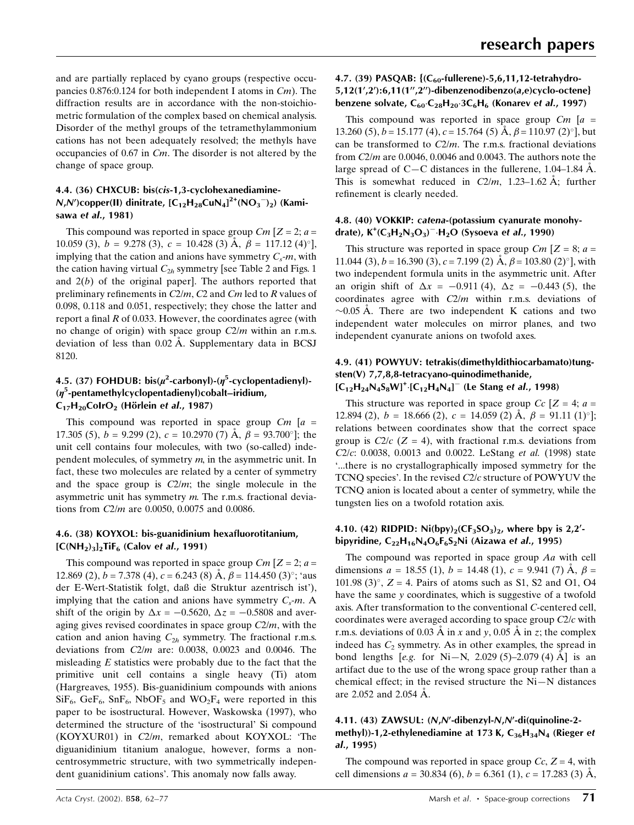and are partially replaced by cyano groups (respective occupancies 0.876:0.124 for both independent I atoms in Cm). The diffraction results are in accordance with the non-stoichiometric formulation of the complex based on chemical analysis. Disorder of the methyl groups of the tetramethylammonium cations has not been adequately resolved; the methyls have occupancies of 0.67 in Cm. The disorder is not altered by the change of space group.

#### 4.4. (36) CHXCUB: bis(cis-1,3-cyclohexanediamine- $N$ , $N'$ )copper(II) dinitrate, [C<sub>12</sub>H<sub>28</sub>CuN<sub>4</sub>]<sup>2+</sup>(NO<sub>3</sub><sup>-</sup>)<sub>2</sub>) (Kamisawa et al., 1981)

This compound was reported in space group  $Cm$  [ $Z = 2$ ;  $a =$ 10.059 (3),  $b = 9.278$  (3),  $c = 10.428$  (3)  $\AA$ ,  $\beta = 117.12$  (4)<sup>o</sup>], implying that the cation and anions have symmetry  $C_s$ -m, with the cation having virtual  $C_{2h}$  symmetry [see Table 2 and Figs. 1 and  $2(b)$  of the original paper]. The authors reported that preliminary refinements in  $C2/m$ ,  $C2$  and  $Cm$  led to R values of 0.098, 0.118 and 0.051, respectively; they chose the latter and report a final  $R$  of 0.033. However, the coordinates agree (with no change of origin) with space group  $C2/m$  within an r.m.s. deviation of less than  $0.02$  Å. Supplementary data in BCSJ 8120.

## 4.5. (37) FOHDUB:  $bis(\mu^2$ -carbonyl)-( $\eta^5$ -cyclopentadienyl)-(n<sup>5</sup>-pentamethylcyclopentadienyl)cobalt-iridium,  $C_{17}H_{20}ColrO<sub>2</sub>$  (Hörlein et al., 1987)

This compound was reported in space group  $Cm$  [a = 17.305 (5),  $b = 9.299$  (2),  $c = 10.2970$  (7) Å,  $\beta = 93.700^{\circ}$ ]; the unit cell contains four molecules, with two (so-called) independent molecules, of symmetry  $m$ , in the asymmetric unit. In fact, these two molecules are related by a center of symmetry and the space group is  $C2/m$ ; the single molecule in the asymmetric unit has symmetry m. The r.m.s. fractional deviations from C2/m are 0.0050, 0.0075 and 0.0086.

#### 4.6. (38) KOYXOL: bis-guanidinium hexafluorotitanium,  $[C(NH<sub>2</sub>)<sub>3</sub>]$ <sub>2</sub>TiF<sub>6</sub> (Calov et *al.*, 1991)

This compound was reported in space group  $Cm$  [ $Z = 2$ ;  $a =$ 12.869 (2),  $b = 7.378$  (4),  $c = 6.243$  (8) A,  $\beta = 114.450$  (3)<sup>o</sup>; 'aus der E-Wert-Statistik folgt, daû die Struktur azentrisch ist'), implying that the cation and anions have symmetry  $C_s$ -m. A shift of the origin by  $\Delta x = -0.5620$ ,  $\Delta z = -0.5808$  and averaging gives revised coordinates in space group  $C2/m$ , with the cation and anion having  $C_{2h}$  symmetry. The fractional r.m.s. deviations from C2/m are: 0.0038, 0.0023 and 0.0046. The misleading  $E$  statistics were probably due to the fact that the primitive unit cell contains a single heavy (Ti) atom (Hargreaves, 1955). Bis-guanidinium compounds with anions  $SiF_6$ ,  $GeF_6$ ,  $SnF_6$ ,  $NbOF_5$  and  $WO_2F_4$  were reported in this paper to be isostructural. However, Waskowska (1997), who determined the structure of the `isostructural' Si compound (KOYXUR01) in  $C2/m$ , remarked about KOYXOL: 'The diguanidinium titanium analogue, however, forms a noncentrosymmetric structure, with two symmetrically independent guanidinium cations'. This anomaly now falls away.

## 4.7. (39) PASQAB:  ${ (C_{60}$-fullerene)-5,6,11,12-tetrahydro-$ 5,12(1',2'):6,11(1",2")-dibenzenodibenzo(a,e)cyclo-octene} benzene solvate,  $C_{60} \cdot C_{28}H_{20} \cdot 3C_6H_6$  (Konarev et al., 1997)

This compound was reported in space group  $Cm$  [a = 13.260 (5),  $b = 15.177$  (4),  $c = 15.764$  (5)  $\text{\AA}$ ,  $\beta = 110.97$  (2)<sup>o</sup>], but can be transformed to  $C2/m$ . The r.m.s. fractional deviations from  $C2/m$  are 0.0046, 0.0046 and 0.0043. The authors note the large spread of C $-C$  distances in the fullerene, 1.04–1.84 Å. This is somewhat reduced in  $C2/m$ , 1.23–1.62 Å; further refinement is clearly needed.

# 4.8. (40) VOKKIP: catena-(potassium cyanurate monohydrate),  $\mathsf{K}^{\text{+}}(\mathsf{C}_3\mathsf{H}_2\mathsf{N}_3\mathsf{O}_3)^{-1}\mathsf{H}_2\mathsf{O}$  (Sysoeva et al., 1990)

This structure was reported in space group  $Cm$  [ $Z = 8$ ;  $a =$ 11.044 (3),  $b = 16.390$  (3),  $c = 7.199$  (2)  $\AA$ ,  $\beta = 103.80$  (2)<sup>o</sup>], with two independent formula units in the asymmetric unit. After an origin shift of  $\Delta x = -0.911 (4)$ ,  $\Delta z = -0.443 (5)$ , the coordinates agree with  $C2/m$  within r.m.s. deviations of  $\sim$ 0.05 Å. There are two independent K cations and two independent water molecules on mirror planes, and two independent cyanurate anions on twofold axes.

# 4.9. (41) POWYUV: tetrakis(dimethyldithiocarbamato)tungsten(V) 7,7,8,8-tetracyano-quinodimethanide,  $[C_{12}H_{24}N_4S_8W]^+$ : $[C_{12}H_4N_4]^-\$  (Le Stang et al., 1998)

This structure was reported in space group  $Cc$  [ $Z = 4$ ;  $a =$ 12.894 (2),  $b = 18.666$  (2),  $c = 14.059$  (2) Å,  $\beta = 91.11$  (1)<sup>o</sup>]; relations between coordinates show that the correct space group is  $C2/c$  ( $Z = 4$ ), with fractional r.m.s. deviations from  $C2/c$ : 0.0038, 0.0013 and 0.0022. LeStang *et al.* (1998) state `...there is no crystallographically imposed symmetry for the TCNQ species'. In the revised C2/c structure of POWYUV the TCNQ anion is located about a center of symmetry, while the tungsten lies on a twofold rotation axis.

#### 4.10. (42) RIDPID:  $Ni(bpy)_2(CF_3SO_3)_2$ , where bpy is 2,2'bipyridine,  $C_{22}H_{16}N_4O_6F_6S_2Ni$  (Aizawa et al., 1995)

The compound was reported in space group Aa with cell dimensions  $a = 18.55$  (1),  $b = 14.48$  (1),  $c = 9.941$  (7)  $\AA$ ,  $\beta =$ 101.98 (3) $^{\circ}$ , Z = 4. Pairs of atoms such as S1, S2 and O1, O4 have the same y coordinates, which is suggestive of a twofold axis. After transformation to the conventional C-centered cell, coordinates were averaged according to space group  $C2/c$  with r.m.s. deviations of 0.03 Å in x and y, 0.05 Å in z; the complex indeed has  $C_2$  symmetry. As in other examples, the spread in bond lengths [e.g. for Ni–N, 2.029 (5)–2.079 (4)  $\AA$ ] is an artifact due to the use of the wrong space group rather than a chemical effect; in the revised structure the  $Ni-N$  distances are  $2.052$  and  $2.054$   $\AA$ .

## 4.11. (43) ZAWSUL: (N,N'-dibenzyl-N,N'-di(quinoline-2methyl))-1,2-ethylenediamine at 173 K,  $C_{36}H_{34}N_4$  (Rieger et al., 1995)

The compound was reported in space group  $Cc$ ,  $Z = 4$ , with cell dimensions  $a = 30.834(6)$ ,  $b = 6.361(1)$ ,  $c = 17.283(3)$  Å,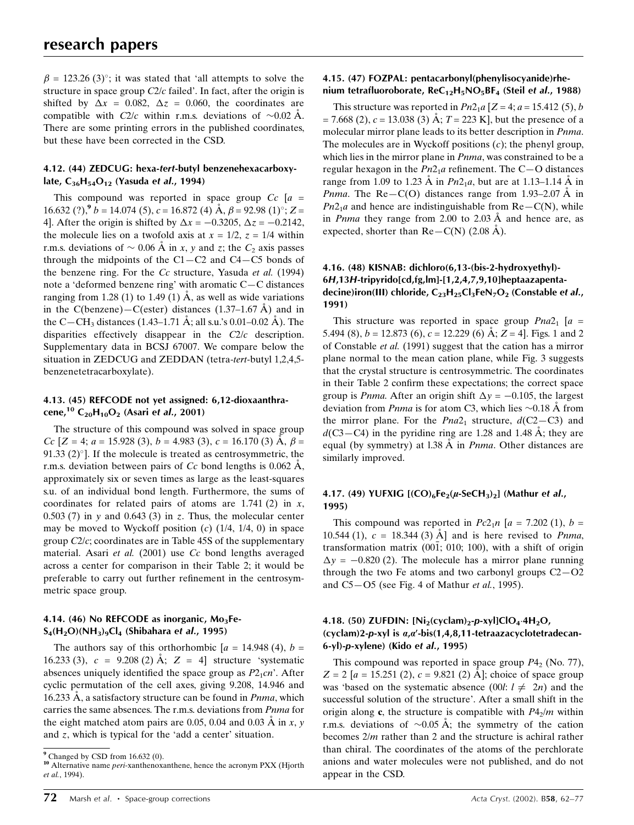$\beta = 123.26$  (3)<sup>o</sup>; it was stated that 'all attempts to solve the structure in space group C2/c failed'. In fact, after the origin is shifted by  $\Delta x = 0.082$ ,  $\Delta z = 0.060$ , the coordinates are compatible with  $C2/c$  within r.m.s. deviations of  $\sim 0.02$  Å. There are some printing errors in the published coordinates, but these have been corrected in the CSD.

#### 4.12. (44) ZEDCUG: hexa-tert-butyl benzenehexacarboxylate,  $C_{36}H_{54}O_{12}$  (Yasuda et al., 1994)

This compound was reported in space group  $Cc$  [a =  $16.632$  (?),<sup>9</sup>  $b = 14.074$  (5),  $c = 16.872$  (4)  $\AA$ ,  $\beta = 92.98$  (1)<sup>o</sup>;  $Z =$ 4]. After the origin is shifted by  $\Delta x = -0.3205$ ,  $\Delta z = -0.2142$ , the molecule lies on a twofold axis at  $x = 1/2$ ,  $z = 1/4$  within r.m.s. deviations of  $\sim 0.06$  Å in x, y and z; the  $C_2$  axis passes through the midpoints of the  $C1-C2$  and  $C4-C5$  bonds of the benzene ring. For the Cc structure, Yasuda et al. (1994) note a 'deformed benzene ring' with aromatic  $C-C$  distances ranging from 1.28 (1) to 1.49 (1)  $\AA$ , as well as wide variations in the C(benzene) $-C$ (ester) distances (1.37–1.67 Å) and in the C—CH<sub>3</sub> distances (1.43–1.71 Å; all s.u.'s 0.01–0.02 Å). The disparities effectively disappear in the C2/c description. Supplementary data in BCSJ 67007. We compare below the situation in ZEDCUG and ZEDDAN (tetra-tert-butyl 1,2,4,5 benzenetetracarboxylate).

#### 4.13. (45) REFCODE not yet assigned: 6,12-dioxaanthracene,<sup>10</sup> C<sub>20</sub>H<sub>10</sub>O<sub>2</sub> (Asari et al., 2001)

The structure of this compound was solved in space group Cc  $[Z = 4; a = 15.928(3), b = 4.983(3), c = 16.170(3)$   $\AA$ ,  $\beta =$ 91.33  $(2)^\circ$ . If the molecule is treated as centrosymmetric, the r.m.s. deviation between pairs of Cc bond lengths is  $0.062 \text{ Å}$ , approximately six or seven times as large as the least-squares s.u. of an individual bond length. Furthermore, the sums of coordinates for related pairs of atoms are  $1.741(2)$  in x, 0.503 (7) in y and 0.643 (3) in z. Thus, the molecular center may be moved to Wyckoff position  $(c)$  (1/4, 1/4, 0) in space group C2/c; coordinates are in Table 45S of the supplementary material. Asari et al. (2001) use Cc bond lengths averaged across a center for comparison in their Table 2; it would be preferable to carry out further refinement in the centrosymmetric space group.

## 4.14. (46) No REFCODE as inorganic,  $Mo<sub>3</sub>Fe S_4(H_2O)(NH_3)_9Cl_4$  (Shibahara et al., 1995)

The authors say of this orthorhombic  $a = 14.948(4)$ ,  $b =$ 16.233 (3),  $c = 9.208$  (2) Å;  $Z = 4$ ] structure 'systematic absences uniquely identified the space group as  $P2_1cn$ . After cyclic permutation of the cell axes, giving 9.208, 14.946 and 16.233  $\AA$ , a satisfactory structure can be found in *Pnma*, which carries the same absences. The r.m.s. deviations from Pnma for the eight matched atom pairs are 0.05, 0.04 and 0.03  $\AA$  in x, y and z, which is typical for the `add a center' situation.

#### 4.15. (47) FOZPAL: pentacarbonyl(phenylisocyanide)rhenium tetrafluoroborate,  $ReC_{12}H_5NO_5BF_4$  (Steil et al., 1988)

This structure was reported in  $Pn2_1a$  [Z = 4; a = 15.412 (5), b  $= 7.668$  (2),  $c = 13.038$  (3) A;  $T = 223$  K], but the presence of a molecular mirror plane leads to its better description in Pnma. The molecules are in Wyckoff positions  $(c)$ ; the phenyl group, which lies in the mirror plane in Pnma, was constrained to be a regular hexagon in the  $Pn2<sub>1</sub>a$  refinement. The C-O distances range from 1.09 to 1.23 Å in  $Pn2_1a$ , but are at 1.13–1.14 Å in *Pnma*. The Re–C(O) distances range from 1.93–2.07  $\AA$  in  $Pn2_1a$  and hence are indistinguishable from  $Re-C(N)$ , while in *Pnma* they range from 2.00 to 2.03  $\AA$  and hence are, as expected, shorter than  $Re-C(N)$  (2.08 Å).

## 4.16. (48) KISNAB: dichloro(6,13-(bis-2-hydroxyethyl)- 6H,13H-tripyrido[cd,fg,lm]-[1,2,4,7,9,10]heptaazapentadecine)iron(III) chloride,  $C_{23}H_{25}Cl_3FeN_7O_2$  (Constable et al., 1991)

This structure was reported in space group  $Pna2<sub>1</sub>$  [a = 5.494 (8),  $b = 12.873$  (6),  $c = 12.229$  (6) Å;  $Z = 4$ ]. Figs. 1 and 2 of Constable et al. (1991) suggest that the cation has a mirror plane normal to the mean cation plane, while Fig. 3 suggests that the crystal structure is centrosymmetric. The coordinates in their Table 2 confirm these expectations; the correct space group is *Pnma*. After an origin shift  $\Delta y = -0.105$ , the largest deviation from *Pnma* is for atom C3, which lies  $\sim 0.18$  Å from the mirror plane. For the  $Pna2_1$  structure,  $d(C2-C3)$  and  $d(C3-C4)$  in the pyridine ring are 1.28 and 1.48 Å; they are equal (by symmetry) at 1.38  $\AA$  in *Pnma*. Other distances are similarly improved.

#### 4.17. (49) YUFXIG  $[({\rm CO})_6$ Fe<sub>2</sub>( $\mu$ -SeCH<sub>3</sub>)<sub>2</sub>] (Mathur et al., 1995)

This compound was reported in  $Pc2_1n$  [a = 7.202 (1), b = 10.544 (1),  $c = 18.344$  (3) Å and is here revised to *Pnma*, transformation matrix  $(00\bar{1}; 010; 100)$ , with a shift of origin  $\Delta y = -0.820$  (2). The molecule has a mirror plane running through the two Fe atoms and two carbonyl groups  $C2 - O2$ and  $C5-O5$  (see Fig. 4 of Mathur *et al.*, 1995).

#### 4.18. (50) ZUFDIN:  $[Ni_2(cyclam)_2-p-xy][ClO_4.4H_2O,$ (cyclam)2-p-xyl is  $a,a'$ -bis(1,4,8,11-tetraazacyclotetradecan-6-yl)-p-xylene) (Kido et al., 1995)

This compound was reported in space group  $P_4$ , (No. 77),  $Z = 2$  [a = 15.251 (2), c = 9.821 (2) Å]; choice of space group was 'based on the systematic absence (00l:  $l \neq 2n$ ) and the successful solution of the structure'. After a small shift in the origin along c, the structure is compatible with  $P4<sub>2</sub>/m$  within r.m.s. deviations of  $\sim 0.05 \text{ Å}$ ; the symmetry of the cation becomes 2/m rather than 2 and the structure is achiral rather than chiral. The coordinates of the atoms of the perchlorate anions and water molecules were not published, and do not appear in the CSD.

<sup>9</sup> Changed by CSD from 16.632 (0).

<sup>&</sup>lt;sup>10</sup> Alternative name *peri*-xanthenoxanthene, hence the acronym PXX (Hjorth et al., 1994).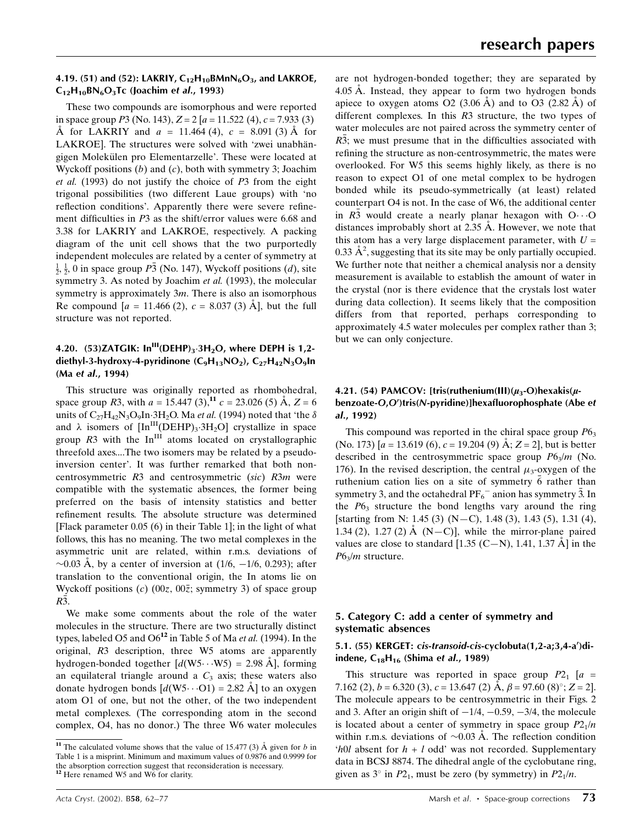#### 4.19. (51) and (52): LAKRIY,  $C_{12}H_{10}BMM_6O_3$ , and LAKROE,  $C_{12}H_{10}BN_6O_3Tc$  (Joachim et al., 1993)

These two compounds are isomorphous and were reported in space group  $P3$  (No. 143),  $Z = 2[a = 11.522(4), c = 7.933(3)]$ A for LAKRIY and  $a = 11.464 (4)$ ,  $c = 8.091 (3)$  Å for LAKROE]. The structures were solved with 'zwei unabhängigen Molekülen pro Elementarzelle'. These were located at Wyckoff positions  $(b)$  and  $(c)$ , both with symmetry 3; Joachim et al. (1993) do not justify the choice of P3 from the eight trigonal possibilities (two different Laue groups) with `no reflection conditions'. Apparently there were severe refinement difficulties in  $P3$  as the shift/error values were 6.68 and 3.38 for LAKRIY and LAKROE, respectively. A packing diagram of the unit cell shows that the two purportedly independent molecules are related by a center of symmetry at  $\frac{1}{2}$ ,  $\frac{1}{2}$ , 0 in space group  $P\overline{3}$  (No. 147), Wyckoff positions (*d*), site symmetry 3. As noted by Joachim et al. (1993), the molecular symmetry is approximately 3m. There is also an isomorphous Re compound  $a = 11.466 (2)$ ,  $c = 8.037 (3)$  Å, but the full structure was not reported.

## 4.20. (53)ZATGIK:  $\text{In}^{\text{III}}(\text{DEHP})_3 \cdot 3\text{H}_2\text{O}$ , where DEPH is 1,2diethyl-3-hydroxy-4-pyridinone  $(C_9H_{13}NO_2)$ ,  $C_{27}H_{42}N_3O_9$ In (Ma et al., 1994)

This structure was originally reported as rhombohedral, space group R3, with  $a = 15.447 (3)$ ,<sup>11</sup>,  $c = 23.026 (5)$  Å,  $Z = 6$ units of  $C_{27}H_{42}N_3O_9In·3H_2O$ . Ma *et al.* (1994) noted that 'the  $\delta$ and  $\lambda$  isomers of  $\text{[In}^{\text{III}}(\text{DEHP})_3 \cdot 3\text{H}_2\text{O}$  crystallize in space group  $R3$  with the In<sup>III</sup> atoms located on crystallographic threefold axes....The two isomers may be related by a pseudoinversion center'. It was further remarked that both noncentrosymmetric R3 and centrosymmetric (sic) R3m were compatible with the systematic absences, the former being preferred on the basis of intensity statistics and better refinement results. The absolute structure was determined [Flack parameter 0.05 (6) in their Table 1]; in the light of what follows, this has no meaning. The two metal complexes in the asymmetric unit are related, within r.m.s. deviations of  $\sim$ 0.03 Å, by a center of inversion at (1/6,  $-1/6$ , 0.293); after translation to the conventional origin, the In atoms lie on Wyckoff positions (c)  $(00z, 00\overline{z})$ ; symmetry 3) of space group  $R\overline{3}$ .

We make some comments about the role of the water molecules in the structure. There are two structurally distinct types, labeled O5 and  $O6^{12}$  in Table 5 of Ma *et al.* (1994). In the original, R3 description, three W5 atoms are apparently hydrogen-bonded together  $[d(W5 \cdots W5) = 2.98 \text{ Å}]$ , forming an equilateral triangle around a  $C_3$  axis; these waters also donate hydrogen bonds  $[d(W5\cdots O1) = 2.82 \text{ Å}]$  to an oxygen atom O1 of one, but not the other, of the two independent metal complexes. (The corresponding atom in the second complex, O4, has no donor.) The three W6 water molecules

are not hydrogen-bonded together; they are separated by 4.05  $\AA$ . Instead, they appear to form two hydrogen bonds apiece to oxygen atoms O2  $(3.06 \text{ Å})$  and to O3  $(2.82 \text{ Å})$  of different complexes. In this R3 structure, the two types of water molecules are not paired across the symmetry center of  $R\overline{3}$ ; we must presume that in the difficulties associated with refining the structure as non-centrosymmetric, the mates were overlooked. For W5 this seems highly likely, as there is no reason to expect O1 of one metal complex to be hydrogen bonded while its pseudo-symmetrically (at least) related counterpart O4 is not. In the case of W6, the additional center in  $R_3$  would create a nearly planar hexagon with  $O \cdot \cdot \cdot O$ distances improbably short at  $2.35 \text{ Å}$ . However, we note that this atom has a very large displacement parameter, with  $U =$ 0.33  $\AA^2$ , suggesting that its site may be only partially occupied. We further note that neither a chemical analysis nor a density measurement is available to establish the amount of water in the crystal (nor is there evidence that the crystals lost water during data collection). It seems likely that the composition differs from that reported, perhaps corresponding to approximately 4.5 water molecules per complex rather than 3; but we can only conjecture.

## 4.21. (54) PAMCOV: [tris(ruthenium(III) $(\mu_3$ -O)hexakis( $\mu$ benzoate-O,O')tris(N-pyridine)]hexafluorophosphate (Abe et al., 1992)

This compound was reported in the chiral space group  $P6<sub>3</sub>$ (No. 173)  $[a = 13.619(6), c = 19.204(9) \text{ Å}; Z = 2]$ , but is better described in the centrosymmetric space group  $P6_3/m$  (No. 176). In the revised description, the central  $\mu_3$ -oxygen of the ruthenium cation lies on a site of symmetry 6 rather than symmetry 3, and the octahedral  $PF_6^-$  anion has symmetry 3. In the  $P6<sub>3</sub>$  structure the bond lengths vary around the ring [starting from N: 1.45 (3)  $(N-C)$ , 1.48 (3), 1.43 (5), 1.31 (4), 1.34 (2), 1.27 (2)  $\AA$  (N-C)], while the mirror-plane paired values are close to standard [1.35 (C-N), 1.41, 1.37  $\AA$ ] in the  $P6<sub>3</sub>/m$  structure.

## 5. Category C: add a center of symmetry and systematic absences

#### 5.1. (55) KERGET: cis-transoid-cis-cyclobuta(1,2-a;3,4-a')diindene,  $C_{18}H_{16}$  (Shima et al., 1989)

This structure was reported in space group  $P2_1$  [a = 7.162 (2),  $b = 6.320$  (3),  $c = 13.647$  (2)  $\AA$ ,  $\beta = 97.60$  (8)°;  $Z = 2$ . The molecule appears to be centrosymmetric in their Figs. 2 and 3. After an origin shift of  $-1/4$ ,  $-0.59$ ,  $-3/4$ , the molecule is located about a center of symmetry in space group  $P2_1/n$ within r.m.s. deviations of  $\sim 0.03$  Å. The reflection condition 'h0l absent for  $h + l$  odd' was not recorded. Supplementary data in BCSJ 8874. The dihedral angle of the cyclobutane ring, given as  $3^{\circ}$  in P<sub>21</sub>, must be zero (by symmetry) in P<sub>21</sub>/n.

<sup>&</sup>lt;sup>11</sup> The calculated volume shows that the value of 15.477 (3)  $\AA$  given for b in Table 1 is a misprint. Minimum and maximum values of 0.9876 and 0.9999 for the absorption correction suggest that reconsideration is necessary.  $12$  Here renamed W5 and W6 for clarity.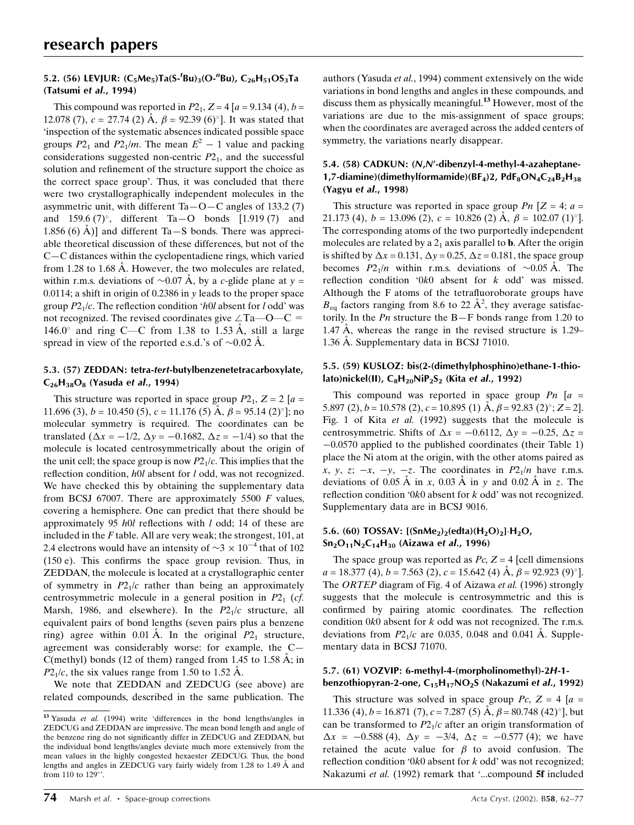## 5.2. (56) LEVJUR:  $(C_5Me_5)Ta(S^{-1}Bu)_3(O^{-n}Bu)$ ,  $C_{26}H_{51}OS_3Ta$ (Tatsumi et al., 1994)

This compound was reported in  $P2_1$ ,  $Z = 4[a = 9.134(4), b =$ 12.078 (7),  $c = 27.74$  (2)  $\dot{A}$ ,  $\beta = 92.39$  (6)<sup>o</sup>]. It was stated that `inspection of the systematic absences indicated possible space groups  $P2_1$  and  $P2_1/m$ . The mean  $E^2 - 1$  value and packing considerations suggested non-centric  $P2<sub>1</sub>$ , and the successful solution and refinement of the structure support the choice as the correct space group'. Thus, it was concluded that there were two crystallographically independent molecules in the asymmetric unit, with different  $Ta-O-C$  angles of 133.2 (7) and  $159.6 (7)$ °, different Ta $-$ O bonds [1.919(7) and 1.856 (6)  $\AA$ )] and different Ta $-S$  bonds. There was appreciable theoretical discussion of these differences, but not of the  $C-C$  distances within the cyclopentadiene rings, which varied from 1.28 to 1.68  $\AA$ . However, the two molecules are related, within r.m.s. deviations of  $\sim 0.07$  Å, by a c-glide plane at y = 0.0114; a shift in origin of 0.2386 in y leads to the proper space group  $P2<sub>1</sub>/c$ . The reflection condition 'h0l absent for l odd' was not recognized. The revised coordinates give  $\angle$ Ta $\rightarrow$ O $\rightarrow$ C = 146.0 $\degree$  and ring C—C from 1.38 to 1.53 Å, still a large spread in view of the reported e.s.d.'s of  $\sim 0.02$  Å.

#### 5.3. (57) ZEDDAN: tetra-tert-butylbenzenetetracarboxylate,  $C_{26}H_{38}O_8$  (Yasuda et al., 1994)

This structure was reported in space group  $P2_1$ ,  $Z = 2[a =$ 11.696 (3),  $b = 10.450$  (5),  $c = 11.176$  (5)  $\AA$ ,  $\beta = 95.14$  (2)<sup>o</sup>]; no molecular symmetry is required. The coordinates can be translated ( $\Delta x = -1/2$ ,  $\Delta y = -0.1682$ ,  $\Delta z = -1/4$ ) so that the molecule is located centrosymmetrically about the origin of the unit cell; the space group is now  $P2<sub>1</sub>/c$ . This implies that the reflection condition,  $h0l$  absent for  $l$  odd, was not recognized. We have checked this by obtaining the supplementary data from BCSJ 67007. There are approximately 5500  $F$  values, covering a hemisphere. One can predict that there should be approximately 95  $h0l$  reflections with  $l$  odd; 14 of these are included in the  $F$  table. All are very weak; the strongest, 101, at 2.4 electrons would have an intensity of  $\sim$ 3  $\times$  10<sup>-4</sup> that of 102  $(150 e)$ . This confirms the space group revision. Thus, in ZEDDAN, the molecule is located at a crystallographic center of symmetry in  $P2<sub>1</sub>/c$  rather than being an approximately centrosymmetric molecule in a general position in  $P2<sub>1</sub>$  (*cf.*) Marsh, 1986, and elsewhere). In the  $P2<sub>1</sub>/c$  structure, all equivalent pairs of bond lengths (seven pairs plus a benzene ring) agree within 0.01 Å. In the original  $P2<sub>1</sub>$  structure, agreement was considerably worse: for example, the  $C-$ C(methyl) bonds (12 of them) ranged from 1.45 to 1.58  $\AA$ ; in  $P2<sub>1</sub>/c$ , the six values range from 1.50 to 1.52 Å.

We note that ZEDDAN and ZEDCUG (see above) are related compounds, described in the same publication. The

authors (Yasuda et al., 1994) comment extensively on the wide variations in bond lengths and angles in these compounds, and discuss them as physically meaningful.<sup>13</sup> However, most of the variations are due to the mis-assignment of space groups; when the coordinates are averaged across the added centers of symmetry, the variations nearly disappear.

### 5.4. (58) CADKUN: (N,N'-dibenzyl-4-methyl-4-azaheptane-1,7-diamine)(dimethylformamide)( $BF_4$ )2, Pd $F_8ON_4C_{24}B_2H_{38}$ (Yagyu et al., 1998)

This structure was reported in space group Pn  $[Z = 4; a =$ 21.173 (4),  $b = 13.096$  (2),  $c = 10.826$  (2)  $\AA$ ,  $\beta = 102.07$  (1)<sup>o</sup>]. The corresponding atoms of the two purportedly independent molecules are related by a  $2<sub>1</sub>$  axis parallel to **b**. After the origin is shifted by  $\Delta x = 0.131$ ,  $\Delta y = 0.25$ ,  $\Delta z = 0.181$ , the space group becomes  $P2_1/n$  within r.m.s. deviations of  $\sim 0.05 \text{ Å}$ . The reflection condition  $0k0$  absent for k odd' was missed. Although the  $F$  atoms of the tetrafluoroborate groups have  $B_{\text{eq}}$  factors ranging from 8.6 to 22  $\AA^2$ , they average satisfactorily. In the  $Pn$  structure the B-F bonds range from 1.20 to 1.47  $\AA$ , whereas the range in the revised structure is 1.29– 1.36 A. Supplementary data in BCSJ 71010.

#### 5.5. (59) KUSLOZ: bis(2-(dimethylphosphino)ethane-1-thiolato)nickel(II),  $C_8H_{20}NIP_2S_2$  (Kita et al., 1992)

This compound was reported in space group  $P_n$  [a = 5.897 (2),  $b = 10.578$  (2),  $c = 10.895$  (1) A,  $\beta = 92.83$  (2)°;  $Z = 2$ ]. Fig. 1 of Kita et al. (1992) suggests that the molecule is centrosymmetric. Shifts of  $\Delta x = -0.6112$ ,  $\Delta y = -0.25$ ,  $\Delta z =$  $-0.0570$  applied to the published coordinates (their Table 1) place the Ni atom at the origin, with the other atoms paired as x, y, z;  $-x$ ,  $-y$ ,  $-z$ . The coordinates in P2<sub>1</sub>/n have r.m.s. deviations of 0.05 Å in x, 0.03 Å in y and 0.02 Å in z. The reflection condition '0k0 absent for  $k$  odd' was not recognized. Supplementary data are in BCSJ 9016.

## 5.6. (60) TOSSAV:  $[(SmMe<sub>2</sub>)<sub>2</sub>(edta)(H<sub>2</sub>O)<sub>2</sub>]·H<sub>2</sub>O,$  $Sn<sub>2</sub>O<sub>11</sub>N<sub>2</sub>C<sub>14</sub>H<sub>30</sub>$  (Aizawa et al., 1996)

The space group was reported as  $Pc$ ,  $Z = 4$  [cell dimensions  $a = 18.377 \text{ (4)}, b = 7.563 \text{ (2)}, c = 15.642 \text{ (4)} \text{ Å}, \beta = 92.923 \text{ (9)}^{\circ}.$ The ORTEP diagram of Fig. 4 of Aizawa et al. (1996) strongly suggests that the molecule is centrosymmetric and this is confirmed by pairing atomic coordinates. The reflection condition  $0k0$  absent for  $k$  odd was not recognized. The r.m.s. deviations from  $P2<sub>1</sub>/c$  are 0.035, 0.048 and 0.041 A. Supplementary data in BCSJ 71070.

#### 5.7. (61) VOZVIP: 6-methyl-4-(morpholinomethyl)-2H-1 benzothiopyran-2-one,  $C_{15}H_{17}NO_2S$  (Nakazumi et al., 1992)

This structure was solved in space group Pc,  $Z = 4[a =$ 11.336 (4),  $b = 16.871$  (7),  $c = 7.287$  (5)  $\AA$ ,  $\beta = 80.748$  (42)<sup>o</sup>], but can be transformed to  $P2<sub>1</sub>/c$  after an origin transformation of  $\Delta x = -0.588$  (4),  $\Delta y = -3/4$ ,  $\Delta z = -0.577$  (4); we have retained the acute value for  $\beta$  to avoid confusion. The reflection condition '0k0 absent for  $k$  odd' was not recognized; Nakazumi et al. (1992) remark that '...compound 5f included

<sup>&</sup>lt;sup>13</sup> Yasuda et al. (1994) write 'differences in the bond lengths/angles in ZEDCUG and ZEDDAN are impressive. The mean bond length and angle of the benzene ring do not significantly differ in ZEDCUG and ZEDDAN, but the individual bond lengths/angles deviate much more extensively from the mean values in the highly congested hexaester ZEDCUG. Thus, the bond lengths and angles in ZEDCUG vary fairly widely from 1.28 to 1.49 A and from 110 to 129'.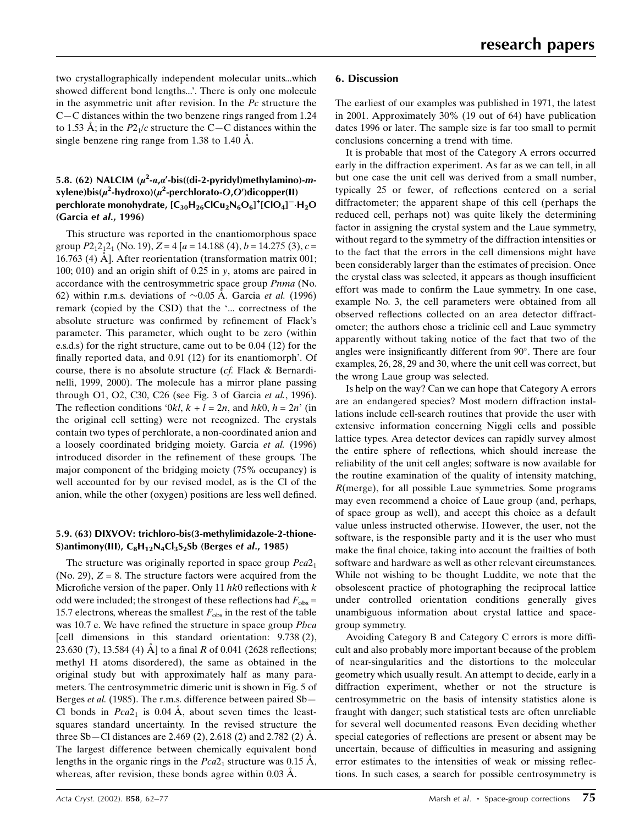two crystallographically independent molecular units...which showed different bond lengths...'. There is only one molecule in the asymmetric unit after revision. In the Pc structure the  $C-C$  distances within the two benzene rings ranged from 1.24 to 1.53 Å; in the  $P2<sub>1</sub>/c$  structure the C–C distances within the single benzene ring range from  $1.38$  to  $1.40$  Å.

## 5.8. (62) NALCIM  $(\mu^2-a,a'-bis((di-2-pyridy))$ methylamino)-mxylene)bis( $\mu^2$ -hydroxo)( $\mu^2$ -perchlorato-O,O')dicopper(II) perchlorate monohydrate,  $\text{[C}_{30}\text{H}_{26}\text{ClCu}_2\text{N}_6\text{O}_6]^+ \text{[ClO}_4]^-. \text{H}_2\text{O}$ (Garcia et al., 1996)

This structure was reported in the enantiomorphous space group  $P2_12_12_1$  (No. 19),  $Z = 4[a = 14.188 (4), b = 14.275 (3), c =$ 16.763 (4)  $\AA$ ]. After reorientation (transformation matrix 001; 100; 010) and an origin shift of 0.25 in y, atoms are paired in accordance with the centrosymmetric space group Pnma (No. 62) within r.m.s. deviations of  $\sim 0.05$  A. Garcia *et al.* (1996) remark (copied by the CSD) that the `... correctness of the absolute structure was confirmed by refinement of Flack's parameter. This parameter, which ought to be zero (within e.s.d.s) for the right structure, came out to be 0.04 (12) for the finally reported data, and 0.91 (12) for its enantiomorph'. Of course, there is no absolute structure (cf. Flack & Bernardinelli, 1999, 2000). The molecule has a mirror plane passing through O1, O2, C30, C26 (see Fig. 3 of Garcia et al., 1996). The reflection conditions '0kl,  $k + l = 2n$ , and  $hk0$ ,  $h = 2n'$  (in the original cell setting) were not recognized. The crystals contain two types of perchlorate, a non-coordinated anion and a loosely coordinated bridging moiety. Garcia et al. (1996) introduced disorder in the refinement of these groups. The major component of the bridging moiety (75% occupancy) is well accounted for by our revised model, as is the Cl of the anion, while the other (oxygen) positions are less well defined.

#### 5.9. (63) DIXVOV: trichloro-bis(3-methylimidazole-2-thione-S)antimony(III),  $C_8H_{12}N_4Cl_3S_2S_6$  (Berges et al., 1985)

The structure was originally reported in space group  $Pca2<sub>1</sub>$ (No. 29),  $Z = 8$ . The structure factors were acquired from the Microfiche version of the paper. Only 11  $hk0$  reflections with k odd were included; the strongest of these reflections had  $F_{obs}$  = 15.7 electrons, whereas the smallest  $F_{obs}$  in the rest of the table was 10.7 e. We have refined the structure in space group Pbca [cell dimensions in this standard orientation: 9.738 (2), 23.630 (7), 13.584 (4)  $\AA$ ] to a final R of 0.041 (2628 reflections; methyl H atoms disordered), the same as obtained in the original study but with approximately half as many parameters. The centrosymmetric dimeric unit is shown in Fig. 5 of Berges *et al.* (1985). The r.m.s. difference between paired  $Sb$ – Cl bonds in  $Pca2_1$  is 0.04 Å, about seven times the leastsquares standard uncertainty. In the revised structure the three Sb—Cl distances are 2.469 (2), 2.618 (2) and 2.782 (2)  $\AA$ . The largest difference between chemically equivalent bond lengths in the organic rings in the  $Pca2<sub>1</sub>$  structure was 0.15 Å, whereas, after revision, these bonds agree within  $0.03 \text{ Å}$ .

## 6. Discussion

The earliest of our examples was published in 1971, the latest in 2001. Approximately 30% (19 out of 64) have publication dates 1996 or later. The sample size is far too small to permit conclusions concerning a trend with time.

It is probable that most of the Category A errors occurred early in the diffraction experiment. As far as we can tell, in all but one case the unit cell was derived from a small number, typically 25 or fewer, of reflections centered on a serial diffractometer; the apparent shape of this cell (perhaps the reduced cell, perhaps not) was quite likely the determining factor in assigning the crystal system and the Laue symmetry, without regard to the symmetry of the diffraction intensities or to the fact that the errors in the cell dimensions might have been considerably larger than the estimates of precision. Once the crystal class was selected, it appears as though insufficient effort was made to confirm the Laue symmetry. In one case, example No. 3, the cell parameters were obtained from all observed reflections collected on an area detector diffractometer; the authors chose a triclinic cell and Laue symmetry apparently without taking notice of the fact that two of the angles were insignificantly different from  $90^\circ$ . There are four examples, 26, 28, 29 and 30, where the unit cell was correct, but the wrong Laue group was selected.

Is help on the way? Can we can hope that Category A errors are an endangered species? Most modern diffraction installations include cell-search routines that provide the user with extensive information concerning Niggli cells and possible lattice types. Area detector devices can rapidly survey almost the entire sphere of reflections, which should increase the reliability of the unit cell angles; software is now available for the routine examination of the quality of intensity matching, R(merge), for all possible Laue symmetries. Some programs may even recommend a choice of Laue group (and, perhaps, of space group as well), and accept this choice as a default value unless instructed otherwise. However, the user, not the software, is the responsible party and it is the user who must make the final choice, taking into account the frailties of both software and hardware as well as other relevant circumstances. While not wishing to be thought Luddite, we note that the obsolescent practice of photographing the reciprocal lattice under controlled orientation conditions generally gives unambiguous information about crystal lattice and spacegroup symmetry.

Avoiding Category B and Category C errors is more difficult and also probably more important because of the problem of near-singularities and the distortions to the molecular geometry which usually result. An attempt to decide, early in a diffraction experiment, whether or not the structure is centrosymmetric on the basis of intensity statistics alone is fraught with danger; such statistical tests are often unreliable for several well documented reasons. Even deciding whether special categories of reflections are present or absent may be uncertain, because of difficulties in measuring and assigning error estimates to the intensities of weak or missing reflections. In such cases, a search for possible centrosymmetry is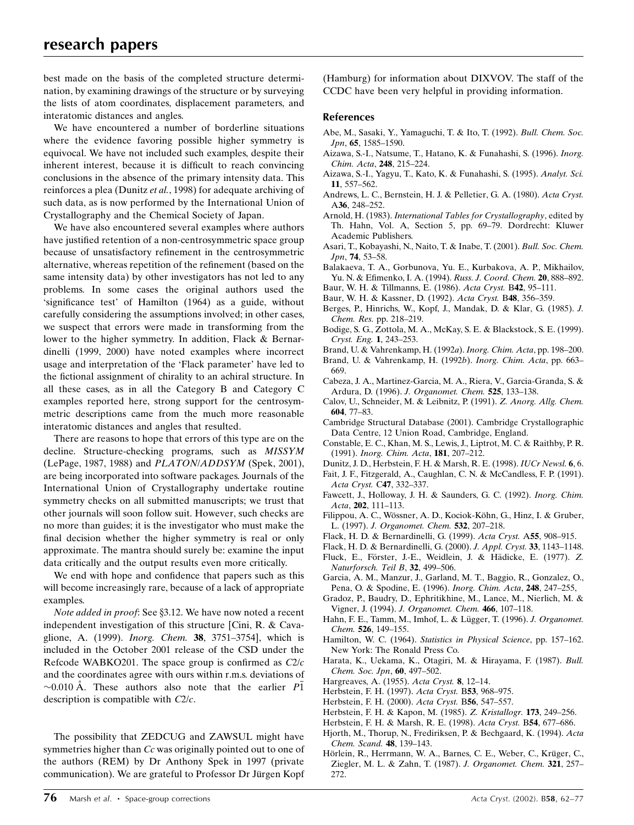best made on the basis of the completed structure determination, by examining drawings of the structure or by surveying the lists of atom coordinates, displacement parameters, and interatomic distances and angles.

We have encountered a number of borderline situations where the evidence favoring possible higher symmetry is equivocal. We have not included such examples, despite their inherent interest, because it is difficult to reach convincing conclusions in the absence of the primary intensity data. This reinforces a plea (Dunitz et al., 1998) for adequate archiving of such data, as is now performed by the International Union of Crystallography and the Chemical Society of Japan.

We have also encountered several examples where authors have justified retention of a non-centrosymmetric space group because of unsatisfactory refinement in the centrosymmetric alternative, whereas repetition of the refinement (based on the same intensity data) by other investigators has not led to any problems. In some cases the original authors used the 'significance test' of Hamilton (1964) as a guide, without carefully considering the assumptions involved; in other cases, we suspect that errors were made in transforming from the lower to the higher symmetry. In addition, Flack & Bernardinelli (1999, 2000) have noted examples where incorrect usage and interpretation of the `Flack parameter' have led to the fictional assignment of chirality to an achiral structure. In all these cases, as in all the Category B and Category C examples reported here, strong support for the centrosymmetric descriptions came from the much more reasonable interatomic distances and angles that resulted.

There are reasons to hope that errors of this type are on the decline. Structure-checking programs, such as MISSYM (LePage, 1987, 1988) and PLATON/ADDSYM (Spek, 2001), are being incorporated into software packages. Journals of the International Union of Crystallography undertake routine symmetry checks on all submitted manuscripts; we trust that other journals will soon follow suit. However, such checks are no more than guides; it is the investigator who must make the final decision whether the higher symmetry is real or only approximate. The mantra should surely be: examine the input data critically and the output results even more critically.

We end with hope and confidence that papers such as this will become increasingly rare, because of a lack of appropriate examples.

Note added in proof: See §3.12. We have now noted a recent independent investigation of this structure [Cini, R. & Cavaglione, A. (1999). *Inorg. Chem.* **38**, 3751-3754], which is included in the October 2001 release of the CSD under the Refcode WABKO201. The space group is confirmed as  $C2/c$ and the coordinates agree with ours within r.m.s. deviations of  $\sim$ 0.010 Å. These authors also note that the earlier P1 description is compatible with C2/c.

The possibility that ZEDCUG and ZAWSUL might have symmetries higher than Cc was originally pointed out to one of the authors (REM) by Dr Anthony Spek in 1997 (private communication). We are grateful to Professor Dr Jürgen Kopf

(Hamburg) for information about DIXVOV. The staff of the CCDC have been very helpful in providing information.

#### References

- Abe, M., Sasaki, Y., Yamaguchi, T. & Ito, T. (1992). Bull. Chem. Soc. Jpn, 65, 1585-1590.
- Aizawa, S.-I., Natsume, T., Hatano, K. & Funahashi, S. (1996). Inorg. Chim. Acta, 248, 215-224.
- Aizawa, S.-I., Yagyu, T., Kato, K. & Funahashi, S. (1995). Analyt. Sci. 11, 557-562.
- Andrews, L. C., Bernstein, H. J. & Pelletier, G. A. (1980). Acta Cryst. A36, 248-252.
- Arnold, H. (1983). International Tables for Crystallography, edited by Th. Hahn, Vol. A, Section 5, pp. 69-79. Dordrecht: Kluwer Academic Publishers.
- Asari, T., Kobayashi, N., Naito, T. & Inabe, T. (2001). Bull. Soc. Chem. Jpn, 74, 53-58.
- Balakaeva, T. A., Gorbunova, Yu. E., Kurbakova, A. P., Mikhailov, Yu. N. & Efimenko, I. A. (1994). Russ. J. Coord. Chem. 20, 888-892.
- Baur, W. H. & Tillmanns, E. (1986). Acta Cryst. B42, 95-111.
- Baur, W. H. & Kassner, D. (1992). Acta Cryst. B48, 356-359.
- Berges, P., Hinrichs, W., Kopf, J., Mandak, D. & Klar, G. (1985). J. Chem. Res. pp. 218-219.
- Bodige, S. G., Zottola, M. A., McKay, S. E. & Blackstock, S. E. (1999). Cryst. Eng. 1, 243-253.
- Brand, U. & Vahrenkamp, H. (1992a). Inorg. Chim. Acta, pp. 198-200.
- Brand, U. & Vahrenkamp, H. (1992b). *Inorg. Chim. Acta*, pp. 663– 669.
- Cabeza, J. A., Martinez-Garcia, M. A., Riera, V., Garcia-Granda, S. & Ardura, D. (1996). J. Organomet. Chem. 525, 133-138.
- Calov, U., Schneider, M. & Leibnitz, P. (1991). Z. Anorg. Allg. Chem. 604, 77-83.
- Cambridge Structural Database (2001). Cambridge Crystallographic Data Centre, 12 Union Road, Cambridge, England.
- Constable, E. C., Khan, M. S., Lewis, J., Liptrot, M. C. & Raithby, P. R. (1991). *Inorg. Chim. Acta*, **181**, 207–212.
- Dunitz, J. D., Herbstein, F. H. & Marsh, R. E. (1998). IUCr Newsl. 6, 6.
- Fait, J. F., Fitzgerald, A., Caughlan, C. N. & McCandless, F. P. (1991). Acta Cryst. C47, 332-337.
- Fawcett, J., Holloway, J. H. & Saunders, G. C. (1992). Inorg. Chim. Acta, 202, 111-113.
- Filippou, A. C., Wössner, A. D., Kociok-Köhn, G., Hinz, I. & Gruber, L. (1997). J. Organomet. Chem. 532, 207-218.
- Flack, H. D. & Bernardinelli, G. (1999). Acta Cryst. A55, 908-915.
- Flack, H. D. & Bernardinelli, G. (2000). J. Appl. Cryst. 33, 1143-1148.
- Fluck, E., Förster, J.-E., Weidlein, J. & Hädicke, E. (1977). Z. Naturforsch. Teil B,  $32$ , 499-506.
- Garcia, A. M., Manzur, J., Garland, M. T., Baggio, R., Gonzalez, O., Pena, O. & Spodine, E. (1996). *Inorg. Chim. Acta*, **248**, 247-255,
- Gradoz, P., Baudry, D., Ephritikhine, M., Lance, M., Nierlich, M. & Vigner, J. (1994). J. Organomet. Chem. 466, 107-118.
- Hahn, F. E., Tamm, M., Imhof, L. & Lügger, T. (1996). J. Organomet. Chem. 526, 149-155.
- Hamilton, W. C. (1964). Statistics in Physical Science, pp. 157-162. New York: The Ronald Press Co.
- Harata, K., Uekama, K., Otagiri, M. & Hirayama, F. (1987). Bull. Chem. Soc. Jpn, 60, 497-502.
- Hargreaves, A. (1955). Acta Cryst. 8, 12-14.
- Herbstein, F. H. (1997). Acta Cryst. B53, 968-975.
- Herbstein, F. H. (2000). Acta Cryst. B56, 547-557.
- Herbstein, F. H. & Kapon, M. (1985). Z. Kristallogr. 173, 249-256.
- Herbstein, F. H. & Marsh, R. E. (1998). Acta Cryst. B54, 677-686.
- Hjorth, M., Thorup, N., Frediriksen, P. & Bechgaard, K. (1994). Acta Chem. Scand. 48, 139-143.
- Hörlein, R., Herrmann, W. A., Barnes, C. E., Weber, C., Krüger, C., Ziegler, M. L. & Zahn, T. (1987). J. Organomet. Chem. 321, 257-272.